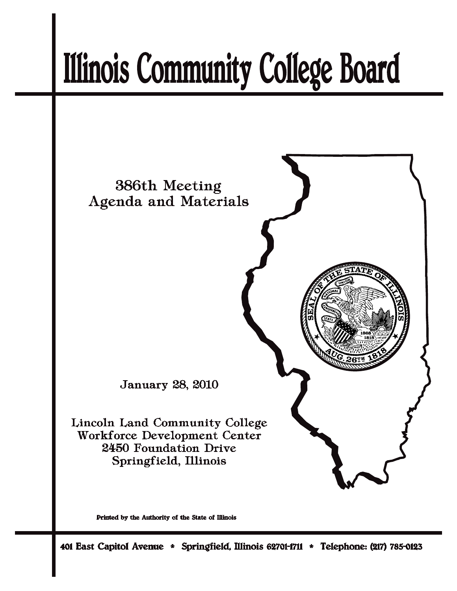# **Illinois Community College Board**



Printed by the Authority of the State of Illinois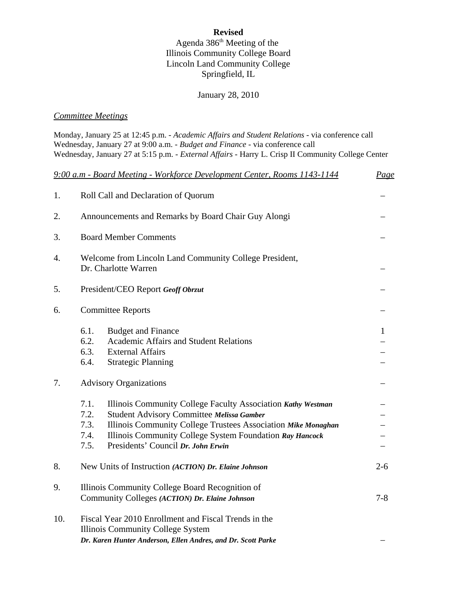# **Revised**

## Agenda  $386<sup>th</sup>$  Meeting of the Illinois Community College Board Lincoln Land Community College Springfield, IL

# January 28, 2010

#### *Committee Meetings*

|     | Monday, January 25 at 12:45 p.m. - Academic Affairs and Student Relations - via conference call<br>Wednesday, January 27 at 9:00 a.m. - Budget and Finance - via conference call<br>Wednesday, January 27 at 5:15 p.m. - External Affairs - Harry L. Crisp II Community College Center                               |         |  |  |
|-----|----------------------------------------------------------------------------------------------------------------------------------------------------------------------------------------------------------------------------------------------------------------------------------------------------------------------|---------|--|--|
|     | 9:00 a.m - Board Meeting - Workforce Development Center, Rooms 1143-1144<br><u>Page</u>                                                                                                                                                                                                                              |         |  |  |
| 1.  | Roll Call and Declaration of Quorum                                                                                                                                                                                                                                                                                  |         |  |  |
| 2.  | Announcements and Remarks by Board Chair Guy Alongi                                                                                                                                                                                                                                                                  |         |  |  |
| 3.  | <b>Board Member Comments</b>                                                                                                                                                                                                                                                                                         |         |  |  |
| 4.  | Welcome from Lincoln Land Community College President,<br>Dr. Charlotte Warren                                                                                                                                                                                                                                       |         |  |  |
| 5.  | President/CEO Report Geoff Obrzut                                                                                                                                                                                                                                                                                    |         |  |  |
| 6.  | <b>Committee Reports</b>                                                                                                                                                                                                                                                                                             |         |  |  |
|     | 6.1.<br><b>Budget and Finance</b><br>6.2.<br><b>Academic Affairs and Student Relations</b><br>6.3.<br><b>External Affairs</b><br>6.4.<br><b>Strategic Planning</b>                                                                                                                                                   | 1       |  |  |
| 7.  | <b>Advisory Organizations</b>                                                                                                                                                                                                                                                                                        |         |  |  |
|     | 7.1.<br>Illinois Community College Faculty Association Kathy Westman<br>7.2.<br>Student Advisory Committee Melissa Gamber<br>7.3.<br>Illinois Community College Trustees Association Mike Monaghan<br>Illinois Community College System Foundation Ray Hancock<br>7.4.<br>Presidents' Council Dr. John Erwin<br>7.5. |         |  |  |
| 8.  | New Units of Instruction (ACTION) Dr. Elaine Johnson                                                                                                                                                                                                                                                                 | $2 - 6$ |  |  |
| 9.  | Illinois Community College Board Recognition of<br>Community Colleges (ACTION) Dr. Elaine Johnson<br>$7 - 8$                                                                                                                                                                                                         |         |  |  |
| 10. | Fiscal Year 2010 Enrollment and Fiscal Trends in the<br>Illinois Community College System<br>Dr. Karen Hunter Anderson, Ellen Andres, and Dr. Scott Parke                                                                                                                                                            |         |  |  |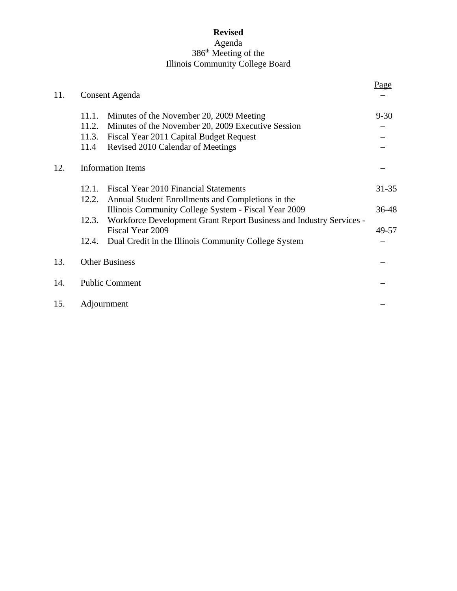## **Revised** Agenda 386<sup>th</sup> Meeting of the Illinois Community College Board

| 11. |                       | Consent Agenda                                                      | Page      |
|-----|-----------------------|---------------------------------------------------------------------|-----------|
|     | 11.1.                 | Minutes of the November 20, 2009 Meeting                            | $9 - 30$  |
|     | 11.2.                 | Minutes of the November 20, 2009 Executive Session                  |           |
|     |                       | 11.3. Fiscal Year 2011 Capital Budget Request                       |           |
|     | 11.4                  | Revised 2010 Calendar of Meetings                                   |           |
| 12. |                       | <b>Information Items</b>                                            |           |
|     | 12.1                  | Fiscal Year 2010 Financial Statements                               | $31 - 35$ |
|     | 12.2.                 | Annual Student Enrollments and Completions in the                   |           |
|     |                       | Illinois Community College System - Fiscal Year 2009                | 36-48     |
|     | 12.3.                 | Workforce Development Grant Report Business and Industry Services - |           |
|     |                       | Fiscal Year 2009                                                    | 49-57     |
|     | 12.4.                 | Dual Credit in the Illinois Community College System                |           |
| 13. |                       | <b>Other Business</b>                                               |           |
| 14. | <b>Public Comment</b> |                                                                     |           |
| 15. |                       | Adjournment                                                         |           |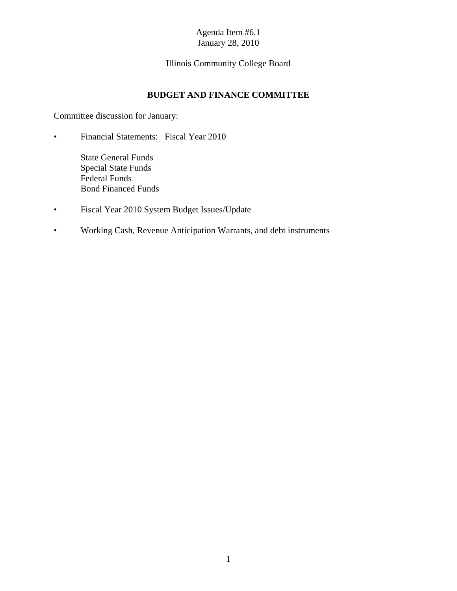# Illinois Community College Board

## **BUDGET AND FINANCE COMMITTEE**

Committee discussion for January:

- Financial Statements: Fiscal Year 2010
	- State General Funds Special State Funds Federal Funds Bond Financed Funds
- Fiscal Year 2010 System Budget Issues/Update
- Working Cash, Revenue Anticipation Warrants, and debt instruments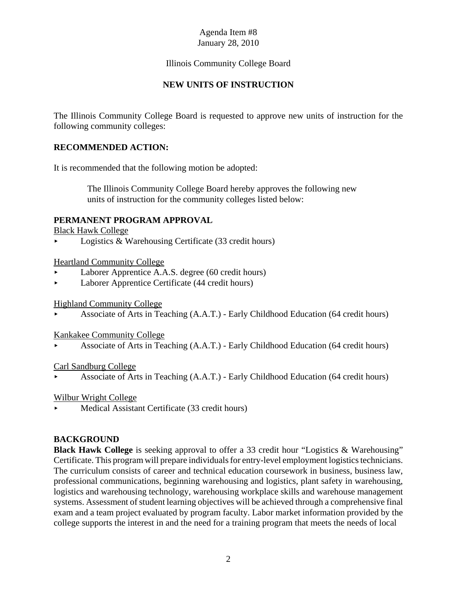## Illinois Community College Board

# **NEW UNITS OF INSTRUCTION**

The Illinois Community College Board is requested to approve new units of instruction for the following community colleges:

## **RECOMMENDED ACTION:**

It is recommended that the following motion be adopted:

 The Illinois Community College Board hereby approves the following new units of instruction for the community colleges listed below:

### **PERMANENT PROGRAM APPROVAL**

Black Hawk College

 $\blacktriangleright$  Logistics & Warehousing Certificate (33 credit hours)

Heartland Community College

- < Laborer Apprentice A.A.S. degree (60 credit hours)
- < Laborer Apprentice Certificate (44 credit hours)

Highland Community College

< Associate of Arts in Teaching (A.A.T.) - Early Childhood Education (64 credit hours)

Kankakee Community College

< Associate of Arts in Teaching (A.A.T.) - Early Childhood Education (64 credit hours)

#### Carl Sandburg College

< Associate of Arts in Teaching (A.A.T.) - Early Childhood Education (64 credit hours)

Wilbur Wright College

Medical Assistant Certificate (33 credit hours)

## **BACKGROUND**

**Black Hawk College** is seeking approval to offer a 33 credit hour "Logistics & Warehousing" Certificate. This program will prepare individuals for entry-level employment logistics technicians. The curriculum consists of career and technical education coursework in business, business law, professional communications, beginning warehousing and logistics, plant safety in warehousing, logistics and warehousing technology, warehousing workplace skills and warehouse management systems. Assessment of student learning objectives will be achieved through a comprehensive final exam and a team project evaluated by program faculty. Labor market information provided by the college supports the interest in and the need for a training program that meets the needs of local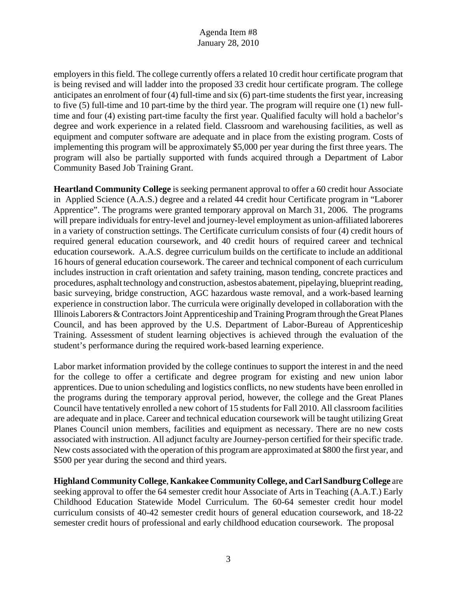employers in this field. The college currently offers a related 10 credit hour certificate program that is being revised and will ladder into the proposed 33 credit hour certificate program. The college anticipates an enrolment of four (4) full-time and six (6) part-time students the first year, increasing to five (5) full-time and 10 part-time by the third year. The program will require one (1) new fulltime and four (4) existing part-time faculty the first year. Qualified faculty will hold a bachelor's degree and work experience in a related field. Classroom and warehousing facilities, as well as equipment and computer software are adequate and in place from the existing program. Costs of implementing this program will be approximately \$5,000 per year during the first three years. The program will also be partially supported with funds acquired through a Department of Labor Community Based Job Training Grant.

**Heartland Community College** is seeking permanent approval to offer a 60 credit hour Associate in Applied Science (A.A.S.) degree and a related 44 credit hour Certificate program in "Laborer Apprentice". The programs were granted temporary approval on March 31, 2006. The programs will prepare individuals for entry-level and journey-level employment as union-affiliated laboreres in a variety of construction settings. The Certificate curriculum consists of four (4) credit hours of required general education coursework, and 40 credit hours of required career and technical education coursework. A.A.S. degree curriculum builds on the certificate to include an additional 16 hours of general education coursework. The career and technical component of each curriculum includes instruction in craft orientation and safety training, mason tending, concrete practices and procedures, asphalt technology and construction, asbestos abatement, pipelaying, blueprint reading, basic surveying, bridge construction, AGC hazardous waste removal, and a work-based learning experience in construction labor. The curricula were originally developed in collaboration with the Illinois Laborers & Contractors Joint Apprenticeship and Training Program through the Great Planes Council, and has been approved by the U.S. Department of Labor-Bureau of Apprenticeship Training. Assessment of student learning objectives is achieved through the evaluation of the student's performance during the required work-based learning experience.

Labor market information provided by the college continues to support the interest in and the need for the college to offer a certificate and degree program for existing and new union labor apprentices. Due to union scheduling and logistics conflicts, no new students have been enrolled in the programs during the temporary approval period, however, the college and the Great Planes Council have tentatively enrolled a new cohort of 15 students for Fall 2010. All classroom facilities are adequate and in place. Career and technical education coursework will be taught utilizing Great Planes Council union members, facilities and equipment as necessary. There are no new costs associated with instruction. All adjunct faculty are Journey-person certified for their specific trade. New costs associated with the operation of this program are approximated at \$800 the first year, and \$500 per year during the second and third years.

**Highland Community College**, **Kankakee Community College, and Carl Sandburg College** are seeking approval to offer the 64 semester credit hour Associate of Arts in Teaching (A.A.T.) Early Childhood Education Statewide Model Curriculum. The 60-64 semester credit hour model curriculum consists of 40-42 semester credit hours of general education coursework, and 18-22 semester credit hours of professional and early childhood education coursework. The proposal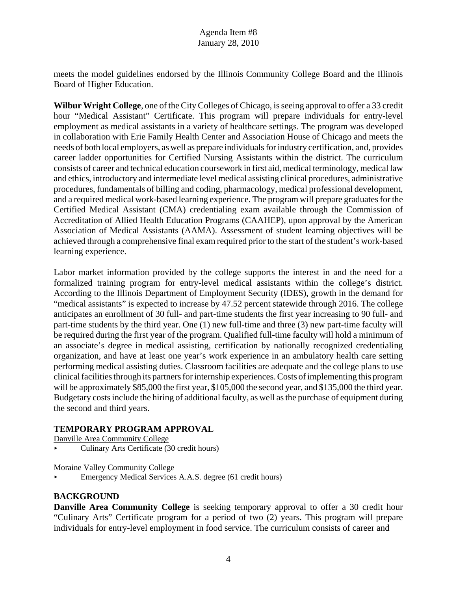meets the model guidelines endorsed by the Illinois Community College Board and the Illinois Board of Higher Education.

**Wilbur Wright College**, one of the City Colleges of Chicago, is seeing approval to offer a 33 credit hour "Medical Assistant" Certificate. This program will prepare individuals for entry-level employment as medical assistants in a variety of healthcare settings. The program was developed in collaboration with Erie Family Health Center and Association House of Chicago and meets the needs of both local employers, as well as prepare individuals for industry certification, and, provides career ladder opportunities for Certified Nursing Assistants within the district. The curriculum consists of career and technical education coursework in first aid, medical terminology, medical law and ethics, introductory and intermediate level medical assisting clinical procedures, administrative procedures, fundamentals of billing and coding, pharmacology, medical professional development, and a required medical work-based learning experience. The program will prepare graduates for the Certified Medical Assistant (CMA) credentialing exam available through the Commission of Accreditation of Allied Health Education Programs (CAAHEP), upon approval by the American Association of Medical Assistants (AAMA). Assessment of student learning objectives will be achieved through a comprehensive final exam required prior to the start of the student's work-based learning experience.

Labor market information provided by the college supports the interest in and the need for a formalized training program for entry-level medical assistants within the college's district. According to the Illinois Department of Employment Security (IDES), growth in the demand for "medical assistants" is expected to increase by 47.52 percent statewide through 2016. The college anticipates an enrollment of 30 full- and part-time students the first year increasing to 90 full- and part-time students by the third year. One (1) new full-time and three (3) new part-time faculty will be required during the first year of the program. Qualified full-time faculty will hold a minimum of an associate's degree in medical assisting, certification by nationally recognized credentialing organization, and have at least one year's work experience in an ambulatory health care setting performing medical assisting duties. Classroom facilities are adequate and the college plans to use clinical facilities through its partners for internship experiences. Costs of implementing this program will be approximately \$85,000 the first year, \$105,000 the second year, and \$135,000 the third year. Budgetary costs include the hiring of additional faculty, as well as the purchase of equipment during the second and third years.

## **TEMPORARY PROGRAM APPROVAL**

Danville Area Community College

< Culinary Arts Certificate (30 credit hours)

Moraine Valley Community College

< Emergency Medical Services A.A.S. degree (61 credit hours)

## **BACKGROUND**

**Danville Area Community College** is seeking temporary approval to offer a 30 credit hour "Culinary Arts" Certificate program for a period of two (2) years. This program will prepare individuals for entry-level employment in food service. The curriculum consists of career and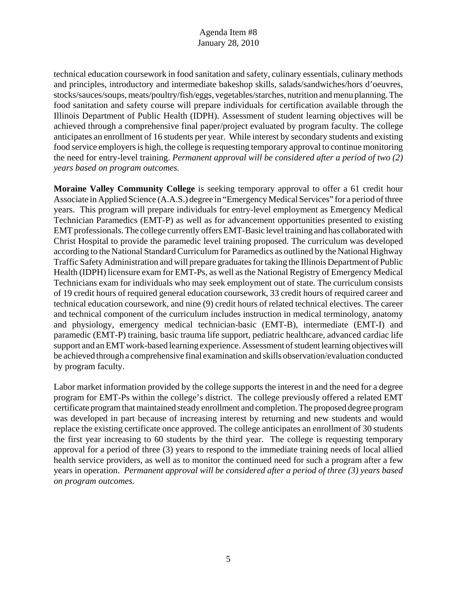technical education coursework in food sanitation and safety, culinary essentials, culinary methods and principles, introductory and intermediate bakeshop skills, salads/sandwiches/hors d'oeuvres, stocks/sauces/soups, meats/poultry/fish/eggs, vegetables/starches, nutrition and menu planning. The food sanitation and safety course will prepare individuals for certification available through the Illinois Department of Public Health (IDPH). Assessment of student learning objectives will be achieved through a comprehensive final paper/project evaluated by program faculty. The college anticipates an enrollment of 16 students per year. While interest by secondary students and existing food service employers is high, the college is requesting temporary approval to continue monitoring the need for entry-level training. *Permanent approval will be considered after a period of two (2) years based on program outcomes.* 

**Moraine Valley Community College** is seeking temporary approval to offer a 61 credit hour Associate in Applied Science (A.A.S.) degree in "Emergency Medical Services" for a period of three years. This program will prepare individuals for entry-level employment as Emergency Medical Technician Paramedics (EMT-P) as well as for advancement opportunities presented to existing EMT professionals. The college currently offers EMT-Basic level training and has collaborated with Christ Hospital to provide the paramedic level training proposed. The curriculum was developed according to the National Standard Curriculum for Paramedics as outlined by the National Highway Traffic Safety Administration and will prepare graduates for taking the Illinois Department of Public Health (IDPH) licensure exam for EMT-Ps, as well as the National Registry of Emergency Medical Technicians exam for individuals who may seek employment out of state. The curriculum consists of 19 credit hours of required general education coursework, 33 credit hours of required career and technical education coursework, and nine (9) credit hours of related technical electives. The career and technical component of the curriculum includes instruction in medical terminology, anatomy and physiology, emergency medical technician-basic (EMT-B), intermediate (EMT-I) and paramedic (EMT-P) training, basic trauma life support, pediatric healthcare, advanced cardiac life support and an EMT work-based learning experience. Assessment of student learning objectives will be achieved through a comprehensive final examination and skills observation/evaluation conducted by program faculty.

Labor market information provided by the college supports the interest in and the need for a degree program for EMT-Ps within the college's district. The college previously offered a related EMT certificate program that maintained steady enrollment and completion. The proposed degree program was developed in part because of increasing interest by returning and new students and would replace the existing certificate once approved. The college anticipates an enrollment of 30 students the first year increasing to 60 students by the third year. The college is requesting temporary approval for a period of three (3) years to respond to the immediate training needs of local allied health service providers, as well as to monitor the continued need for such a program after a few years in operation. *Permanent approval will be considered after a period of three (3) years based on program outcomes.*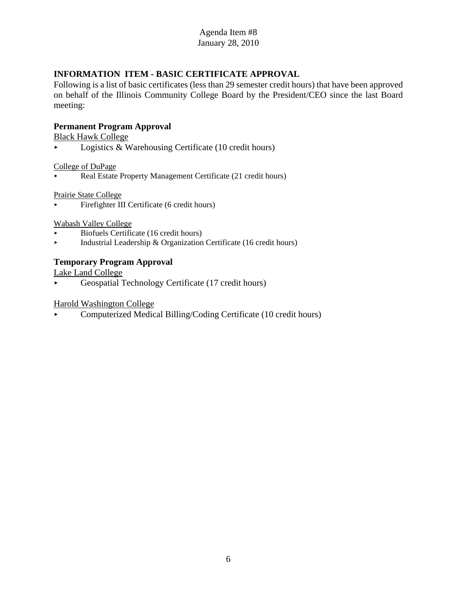# **INFORMATION ITEM - BASIC CERTIFICATE APPROVAL**

Following is a list of basic certificates (less than 29 semester credit hours) that have been approved on behalf of the Illinois Community College Board by the President/CEO since the last Board meeting:

#### **Permanent Program Approval**

Black Hawk College

 $\blacktriangleright$  Logistics & Warehousing Certificate (10 credit hours)

College of DuPage

Real Estate Property Management Certificate (21 credit hours)

Prairie State College

< Firefighter III Certificate (6 credit hours)

Wabash Valley College

- < Biofuels Certificate (16 credit hours)
- **Industrial Leadership & Organization Certificate (16 credit hours)**

### **Temporary Program Approval**

Lake Land College

< Geospatial Technology Certificate (17 credit hours)

Harold Washington College

< Computerized Medical Billing/Coding Certificate (10 credit hours)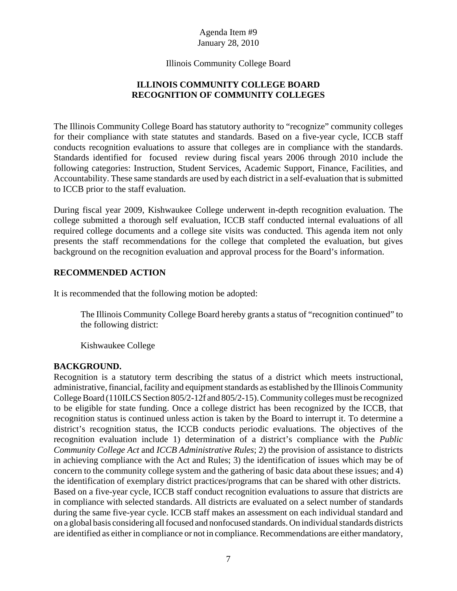Illinois Community College Board

# **ILLINOIS COMMUNITY COLLEGE BOARD RECOGNITION OF COMMUNITY COLLEGES**

The Illinois Community College Board has statutory authority to "recognize" community colleges for their compliance with state statutes and standards. Based on a five-year cycle, ICCB staff conducts recognition evaluations to assure that colleges are in compliance with the standards. Standards identified for focused review during fiscal years 2006 through 2010 include the following categories: Instruction, Student Services, Academic Support, Finance, Facilities, and Accountability. These same standards are used by each district in a self-evaluation that is submitted to ICCB prior to the staff evaluation.

During fiscal year 2009, Kishwaukee College underwent in-depth recognition evaluation. The college submitted a thorough self evaluation, ICCB staff conducted internal evaluations of all required college documents and a college site visits was conducted. This agenda item not only presents the staff recommendations for the college that completed the evaluation, but gives background on the recognition evaluation and approval process for the Board's information.

### **RECOMMENDED ACTION**

It is recommended that the following motion be adopted:

The Illinois Community College Board hereby grants a status of "recognition continued" to the following district:

Kishwaukee College

#### **BACKGROUND.**

Recognition is a statutory term describing the status of a district which meets instructional, administrative, financial, facility and equipment standards as established by the Illinois Community College Board (110ILCS Section 805/2-12f and 805/2-15). Community colleges must be recognized to be eligible for state funding. Once a college district has been recognized by the ICCB, that recognition status is continued unless action is taken by the Board to interrupt it. To determine a district's recognition status, the ICCB conducts periodic evaluations. The objectives of the recognition evaluation include 1) determination of a district's compliance with the *Public Community College Act* and *ICCB Administrative Rules*; 2) the provision of assistance to districts in achieving compliance with the Act and Rules; 3) the identification of issues which may be of concern to the community college system and the gathering of basic data about these issues; and 4) the identification of exemplary district practices/programs that can be shared with other districts. Based on a five-year cycle, ICCB staff conduct recognition evaluations to assure that districts are in compliance with selected standards. All districts are evaluated on a select number of standards during the same five-year cycle. ICCB staff makes an assessment on each individual standard and on a global basis considering all focused and nonfocused standards. On individual standards districts are identified as either in compliance or not in compliance. Recommendations are either mandatory,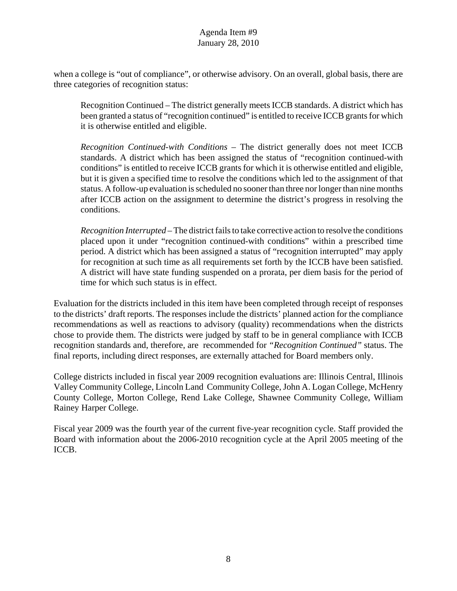when a college is "out of compliance", or otherwise advisory. On an overall, global basis, there are three categories of recognition status:

Recognition Continued – The district generally meets ICCB standards. A district which has been granted a status of "recognition continued" is entitled to receive ICCB grants for which it is otherwise entitled and eligible.

*Recognition Continued-with Conditions* – The district generally does not meet ICCB standards. A district which has been assigned the status of "recognition continued-with conditions" is entitled to receive ICCB grants for which it is otherwise entitled and eligible, but it is given a specified time to resolve the conditions which led to the assignment of that status. A follow-up evaluation is scheduled no sooner than three nor longer than nine months after ICCB action on the assignment to determine the district's progress in resolving the conditions.

*Recognition Interrupted* – The district fails to take corrective action to resolve the conditions placed upon it under "recognition continued-with conditions" within a prescribed time period. A district which has been assigned a status of "recognition interrupted" may apply for recognition at such time as all requirements set forth by the ICCB have been satisfied. A district will have state funding suspended on a prorata, per diem basis for the period of time for which such status is in effect.

Evaluation for the districts included in this item have been completed through receipt of responses to the districts' draft reports. The responses include the districts' planned action for the compliance recommendations as well as reactions to advisory (quality) recommendations when the districts chose to provide them. The districts were judged by staff to be in general compliance with ICCB recognition standards and, therefore, are recommended for *"Recognition Continued"* status. The final reports, including direct responses, are externally attached for Board members only.

College districts included in fiscal year 2009 recognition evaluations are: Illinois Central, Illinois Valley Community College, Lincoln Land Community College, John A. Logan College, McHenry County College, Morton College, Rend Lake College, Shawnee Community College, William Rainey Harper College.

Fiscal year 2009 was the fourth year of the current five-year recognition cycle. Staff provided the Board with information about the 2006-2010 recognition cycle at the April 2005 meeting of the ICCB.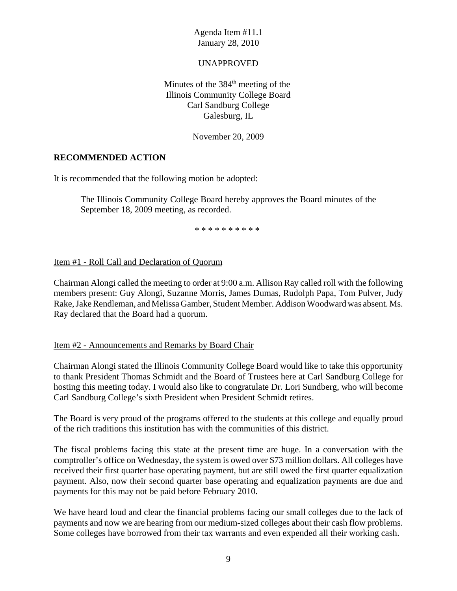#### UNAPPROVED

Minutes of the  $384<sup>th</sup>$  meeting of the Illinois Community College Board Carl Sandburg College Galesburg, IL

November 20, 2009

### **RECOMMENDED ACTION**

It is recommended that the following motion be adopted:

The Illinois Community College Board hereby approves the Board minutes of the September 18, 2009 meeting, as recorded.

\* \* \* \* \* \* \* \* \* \*

#### Item #1 - Roll Call and Declaration of Quorum

Chairman Alongi called the meeting to order at 9:00 a.m. Allison Ray called roll with the following members present: Guy Alongi, Suzanne Morris, James Dumas, Rudolph Papa, Tom Pulver, Judy Rake, Jake Rendleman, and Melissa Gamber, Student Member. Addison Woodward was absent. Ms. Ray declared that the Board had a quorum.

Item #2 - Announcements and Remarks by Board Chair

Chairman Alongi stated the Illinois Community College Board would like to take this opportunity to thank President Thomas Schmidt and the Board of Trustees here at Carl Sandburg College for hosting this meeting today. I would also like to congratulate Dr. Lori Sundberg, who will become Carl Sandburg College's sixth President when President Schmidt retires.

The Board is very proud of the programs offered to the students at this college and equally proud of the rich traditions this institution has with the communities of this district.

The fiscal problems facing this state at the present time are huge. In a conversation with the comptroller's office on Wednesday, the system is owed over \$73 million dollars. All colleges have received their first quarter base operating payment, but are still owed the first quarter equalization payment. Also, now their second quarter base operating and equalization payments are due and payments for this may not be paid before February 2010.

We have heard loud and clear the financial problems facing our small colleges due to the lack of payments and now we are hearing from our medium-sized colleges about their cash flow problems. Some colleges have borrowed from their tax warrants and even expended all their working cash.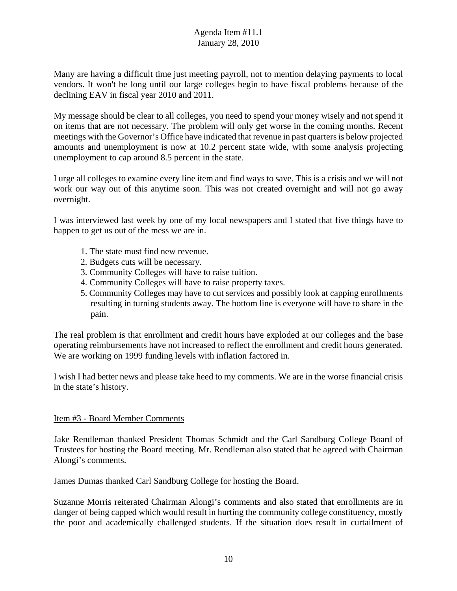Many are having a difficult time just meeting payroll, not to mention delaying payments to local vendors. It won't be long until our large colleges begin to have fiscal problems because of the declining EAV in fiscal year 2010 and 2011.

My message should be clear to all colleges, you need to spend your money wisely and not spend it on items that are not necessary. The problem will only get worse in the coming months. Recent meetings with the Governor's Office have indicated that revenue in past quarters is below projected amounts and unemployment is now at 10.2 percent state wide, with some analysis projecting unemployment to cap around 8.5 percent in the state.

I urge all colleges to examine every line item and find ways to save. This is a crisis and we will not work our way out of this anytime soon. This was not created overnight and will not go away overnight.

I was interviewed last week by one of my local newspapers and I stated that five things have to happen to get us out of the mess we are in.

- 1. The state must find new revenue.
- 2. Budgets cuts will be necessary.
- 3. Community Colleges will have to raise tuition.
- 4. Community Colleges will have to raise property taxes.
- 5. Community Colleges may have to cut services and possibly look at capping enrollments resulting in turning students away. The bottom line is everyone will have to share in the pain.

The real problem is that enrollment and credit hours have exploded at our colleges and the base operating reimbursements have not increased to reflect the enrollment and credit hours generated. We are working on 1999 funding levels with inflation factored in.

I wish I had better news and please take heed to my comments. We are in the worse financial crisis in the state's history.

#### Item #3 - Board Member Comments

Jake Rendleman thanked President Thomas Schmidt and the Carl Sandburg College Board of Trustees for hosting the Board meeting. Mr. Rendleman also stated that he agreed with Chairman Alongi's comments.

James Dumas thanked Carl Sandburg College for hosting the Board.

Suzanne Morris reiterated Chairman Alongi's comments and also stated that enrollments are in danger of being capped which would result in hurting the community college constituency, mostly the poor and academically challenged students. If the situation does result in curtailment of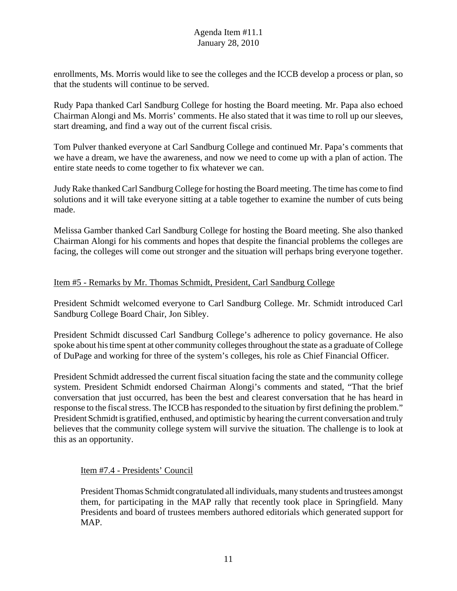enrollments, Ms. Morris would like to see the colleges and the ICCB develop a process or plan, so that the students will continue to be served.

Rudy Papa thanked Carl Sandburg College for hosting the Board meeting. Mr. Papa also echoed Chairman Alongi and Ms. Morris' comments. He also stated that it was time to roll up our sleeves, start dreaming, and find a way out of the current fiscal crisis.

Tom Pulver thanked everyone at Carl Sandburg College and continued Mr. Papa's comments that we have a dream, we have the awareness, and now we need to come up with a plan of action. The entire state needs to come together to fix whatever we can.

Judy Rake thanked Carl Sandburg College for hosting the Board meeting. The time has come to find solutions and it will take everyone sitting at a table together to examine the number of cuts being made.

Melissa Gamber thanked Carl Sandburg College for hosting the Board meeting. She also thanked Chairman Alongi for his comments and hopes that despite the financial problems the colleges are facing, the colleges will come out stronger and the situation will perhaps bring everyone together.

## Item #5 - Remarks by Mr. Thomas Schmidt, President, Carl Sandburg College

President Schmidt welcomed everyone to Carl Sandburg College. Mr. Schmidt introduced Carl Sandburg College Board Chair, Jon Sibley.

President Schmidt discussed Carl Sandburg College's adherence to policy governance. He also spoke about his time spent at other community colleges throughout the state as a graduate of College of DuPage and working for three of the system's colleges, his role as Chief Financial Officer.

President Schmidt addressed the current fiscal situation facing the state and the community college system. President Schmidt endorsed Chairman Alongi's comments and stated, "That the brief conversation that just occurred, has been the best and clearest conversation that he has heard in response to the fiscal stress. The ICCB has responded to the situation by first defining the problem." President Schmidt is gratified, enthused, and optimistic by hearing the current conversation and truly believes that the community college system will survive the situation. The challenge is to look at this as an opportunity.

#### Item #7.4 - Presidents' Council

President Thomas Schmidt congratulated all individuals, many students and trustees amongst them, for participating in the MAP rally that recently took place in Springfield. Many Presidents and board of trustees members authored editorials which generated support for MAP.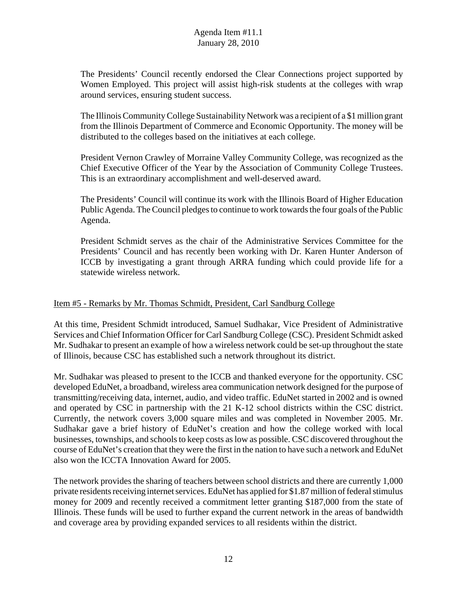The Presidents' Council recently endorsed the Clear Connections project supported by Women Employed. This project will assist high-risk students at the colleges with wrap around services, ensuring student success.

The Illinois Community College Sustainability Network was a recipient of a \$1 million grant from the Illinois Department of Commerce and Economic Opportunity. The money will be distributed to the colleges based on the initiatives at each college.

President Vernon Crawley of Morraine Valley Community College, was recognized as the Chief Executive Officer of the Year by the Association of Community College Trustees. This is an extraordinary accomplishment and well-deserved award.

The Presidents' Council will continue its work with the Illinois Board of Higher Education Public Agenda. The Council pledges to continue to work towards the four goals of the Public Agenda.

President Schmidt serves as the chair of the Administrative Services Committee for the Presidents' Council and has recently been working with Dr. Karen Hunter Anderson of ICCB by investigating a grant through ARRA funding which could provide life for a statewide wireless network.

## Item #5 - Remarks by Mr. Thomas Schmidt, President, Carl Sandburg College

At this time, President Schmidt introduced, Samuel Sudhakar, Vice President of Administrative Services and Chief Information Officer for Carl Sandburg College (CSC). President Schmidt asked Mr. Sudhakar to present an example of how a wireless network could be set-up throughout the state of Illinois, because CSC has established such a network throughout its district.

Mr. Sudhakar was pleased to present to the ICCB and thanked everyone for the opportunity. CSC developed EduNet, a broadband, wireless area communication network designed for the purpose of transmitting/receiving data, internet, audio, and video traffic. EduNet started in 2002 and is owned and operated by CSC in partnership with the 21 K-12 school districts within the CSC district. Currently, the network covers 3,000 square miles and was completed in November 2005. Mr. Sudhakar gave a brief history of EduNet's creation and how the college worked with local businesses, townships, and schools to keep costs as low as possible. CSC discovered throughout the course of EduNet's creation that they were the first in the nation to have such a network and EduNet also won the ICCTA Innovation Award for 2005.

The network provides the sharing of teachers between school districts and there are currently 1,000 private residents receiving internet services. EduNet has applied for \$1.87 million of federal stimulus money for 2009 and recently received a commitment letter granting \$187,000 from the state of Illinois. These funds will be used to further expand the current network in the areas of bandwidth and coverage area by providing expanded services to all residents within the district.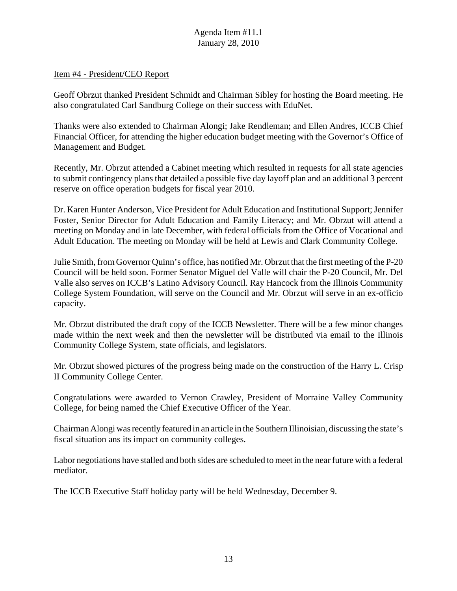#### Item #4 - President/CEO Report

Geoff Obrzut thanked President Schmidt and Chairman Sibley for hosting the Board meeting. He also congratulated Carl Sandburg College on their success with EduNet.

Thanks were also extended to Chairman Alongi; Jake Rendleman; and Ellen Andres, ICCB Chief Financial Officer, for attending the higher education budget meeting with the Governor's Office of Management and Budget.

Recently, Mr. Obrzut attended a Cabinet meeting which resulted in requests for all state agencies to submit contingency plans that detailed a possible five day layoff plan and an additional 3 percent reserve on office operation budgets for fiscal year 2010.

Dr. Karen Hunter Anderson, Vice President for Adult Education and Institutional Support; Jennifer Foster, Senior Director for Adult Education and Family Literacy; and Mr. Obrzut will attend a meeting on Monday and in late December, with federal officials from the Office of Vocational and Adult Education. The meeting on Monday will be held at Lewis and Clark Community College.

Julie Smith, from Governor Quinn's office, has notified Mr. Obrzut that the first meeting of the P-20 Council will be held soon. Former Senator Miguel del Valle will chair the P-20 Council, Mr. Del Valle also serves on ICCB's Latino Advisory Council. Ray Hancock from the Illinois Community College System Foundation, will serve on the Council and Mr. Obrzut will serve in an ex-officio capacity.

Mr. Obrzut distributed the draft copy of the ICCB Newsletter. There will be a few minor changes made within the next week and then the newsletter will be distributed via email to the Illinois Community College System, state officials, and legislators.

Mr. Obrzut showed pictures of the progress being made on the construction of the Harry L. Crisp II Community College Center.

Congratulations were awarded to Vernon Crawley, President of Morraine Valley Community College, for being named the Chief Executive Officer of the Year.

Chairman Alongi was recently featured in an article in the Southern Illinoisian, discussing the state's fiscal situation ans its impact on community colleges.

Labor negotiations have stalled and both sides are scheduled to meet in the near future with a federal mediator.

The ICCB Executive Staff holiday party will be held Wednesday, December 9.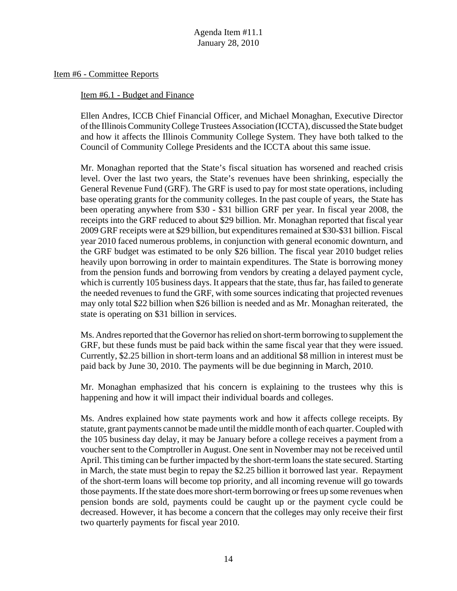Item #6 - Committee Reports

Item #6.1 - Budget and Finance

Ellen Andres, ICCB Chief Financial Officer, and Michael Monaghan, Executive Director of the Illinois Community College Trustees Association (ICCTA), discussed the State budget and how it affects the Illinois Community College System. They have both talked to the Council of Community College Presidents and the ICCTA about this same issue.

Mr. Monaghan reported that the State's fiscal situation has worsened and reached crisis level. Over the last two years, the State's revenues have been shrinking, especially the General Revenue Fund (GRF). The GRF is used to pay for most state operations, including base operating grants for the community colleges. In the past couple of years, the State has been operating anywhere from \$30 - \$31 billion GRF per year. In fiscal year 2008, the receipts into the GRF reduced to about \$29 billion. Mr. Monaghan reported that fiscal year 2009 GRF receipts were at \$29 billion, but expenditures remained at \$30-\$31 billion. Fiscal year 2010 faced numerous problems, in conjunction with general economic downturn, and the GRF budget was estimated to be only \$26 billion. The fiscal year 2010 budget relies heavily upon borrowing in order to maintain expenditures. The State is borrowing money from the pension funds and borrowing from vendors by creating a delayed payment cycle, which is currently 105 business days. It appears that the state, thus far, has failed to generate the needed revenues to fund the GRF, with some sources indicating that projected revenues may only total \$22 billion when \$26 billion is needed and as Mr. Monaghan reiterated, the state is operating on \$31 billion in services.

Ms. Andres reported that the Governor has relied on short-term borrowing to supplement the GRF, but these funds must be paid back within the same fiscal year that they were issued. Currently, \$2.25 billion in short-term loans and an additional \$8 million in interest must be paid back by June 30, 2010. The payments will be due beginning in March, 2010.

Mr. Monaghan emphasized that his concern is explaining to the trustees why this is happening and how it will impact their individual boards and colleges.

Ms. Andres explained how state payments work and how it affects college receipts. By statute, grant payments cannot be made until the middle month of each quarter. Coupled with the 105 business day delay, it may be January before a college receives a payment from a voucher sent to the Comptroller in August. One sent in November may not be received until April. This timing can be further impacted by the short-term loans the state secured. Starting in March, the state must begin to repay the \$2.25 billion it borrowed last year. Repayment of the short-term loans will become top priority, and all incoming revenue will go towards those payments. If the state does more short-term borrowing or frees up some revenues when pension bonds are sold, payments could be caught up or the payment cycle could be decreased. However, it has become a concern that the colleges may only receive their first two quarterly payments for fiscal year 2010.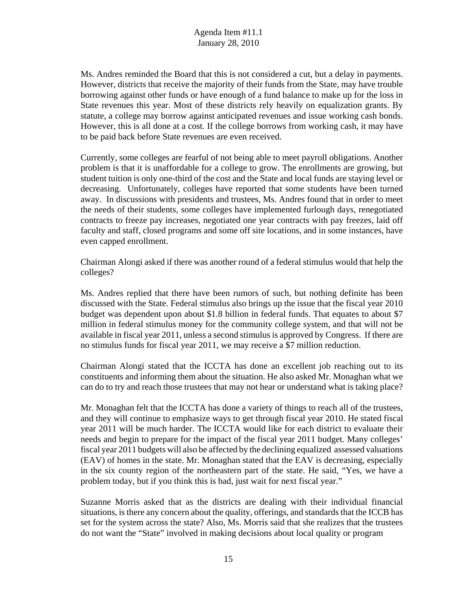Ms. Andres reminded the Board that this is not considered a cut, but a delay in payments. However, districts that receive the majority of their funds from the State, may have trouble borrowing against other funds or have enough of a fund balance to make up for the loss in State revenues this year. Most of these districts rely heavily on equalization grants. By statute, a college may borrow against anticipated revenues and issue working cash bonds. However, this is all done at a cost. If the college borrows from working cash, it may have to be paid back before State revenues are even received.

Currently, some colleges are fearful of not being able to meet payroll obligations. Another problem is that it is unaffordable for a college to grow. The enrollments are growing, but student tuition is only one-third of the cost and the State and local funds are staying level or decreasing. Unfortunately, colleges have reported that some students have been turned away. In discussions with presidents and trustees, Ms. Andres found that in order to meet the needs of their students, some colleges have implemented furlough days, renegotiated contracts to freeze pay increases, negotiated one year contracts with pay freezes, laid off faculty and staff, closed programs and some off site locations, and in some instances, have even capped enrollment.

Chairman Alongi asked if there was another round of a federal stimulus would that help the colleges?

Ms. Andres replied that there have been rumors of such, but nothing definite has been discussed with the State. Federal stimulus also brings up the issue that the fiscal year 2010 budget was dependent upon about \$1.8 billion in federal funds. That equates to about \$7 million in federal stimulus money for the community college system, and that will not be available in fiscal year 2011, unless a second stimulus is approved by Congress. If there are no stimulus funds for fiscal year 2011, we may receive a \$7 million reduction.

Chairman Alongi stated that the ICCTA has done an excellent job reaching out to its constituents and informing them about the situation. He also asked Mr. Monaghan what we can do to try and reach those trustees that may not hear or understand what is taking place?

Mr. Monaghan felt that the ICCTA has done a variety of things to reach all of the trustees, and they will continue to emphasize ways to get through fiscal year 2010. He stated fiscal year 2011 will be much harder. The ICCTA would like for each district to evaluate their needs and begin to prepare for the impact of the fiscal year 2011 budget. Many colleges' fiscal year 2011 budgets will also be affected by the declining equalized assessed valuations (EAV) of homes in the state. Mr. Monaghan stated that the EAV is decreasing, especially in the six county region of the northeastern part of the state. He said, "Yes, we have a problem today, but if you think this is bad, just wait for next fiscal year."

Suzanne Morris asked that as the districts are dealing with their individual financial situations, is there any concern about the quality, offerings, and standards that the ICCB has set for the system across the state? Also, Ms. Morris said that she realizes that the trustees do not want the "State" involved in making decisions about local quality or program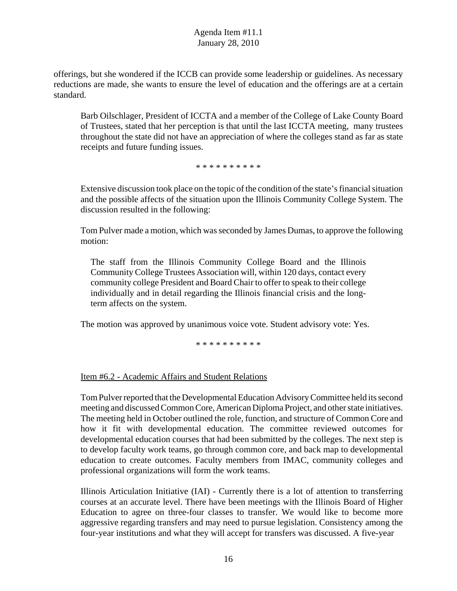offerings, but she wondered if the ICCB can provide some leadership or guidelines. As necessary reductions are made, she wants to ensure the level of education and the offerings are at a certain standard.

Barb Oilschlager, President of ICCTA and a member of the College of Lake County Board of Trustees, stated that her perception is that until the last ICCTA meeting, many trustees throughout the state did not have an appreciation of where the colleges stand as far as state receipts and future funding issues.

\* \* \* \* \* \* \* \* \* \*

Extensive discussion took place on the topic of the condition of the state's financial situation and the possible affects of the situation upon the Illinois Community College System. The discussion resulted in the following:

Tom Pulver made a motion, which was seconded by James Dumas, to approve the following motion:

The staff from the Illinois Community College Board and the Illinois Community College Trustees Association will, within 120 days, contact every community college President and Board Chair to offer to speak to their college individually and in detail regarding the Illinois financial crisis and the longterm affects on the system.

The motion was approved by unanimous voice vote. Student advisory vote: Yes.

\* \* \* \* \* \* \* \* \* \*

Item #6.2 - Academic Affairs and Student Relations

Tom Pulver reported that the Developmental Education Advisory Committee held its second meeting and discussed Common Core, American Diploma Project, and other state initiatives. The meeting held in October outlined the role, function, and structure of Common Core and how it fit with developmental education. The committee reviewed outcomes for developmental education courses that had been submitted by the colleges. The next step is to develop faculty work teams, go through common core, and back map to developmental education to create outcomes. Faculty members from IMAC, community colleges and professional organizations will form the work teams.

Illinois Articulation Initiative (IAI) - Currently there is a lot of attention to transferring courses at an accurate level. There have been meetings with the Illinois Board of Higher Education to agree on three-four classes to transfer. We would like to become more aggressive regarding transfers and may need to pursue legislation. Consistency among the four-year institutions and what they will accept for transfers was discussed. A five-year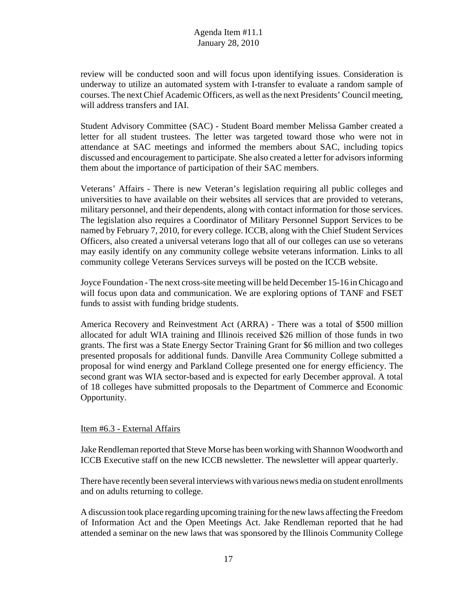review will be conducted soon and will focus upon identifying issues. Consideration is underway to utilize an automated system with I-transfer to evaluate a random sample of courses. The next Chief Academic Officers, as well as the next Presidents' Council meeting, will address transfers and IAI.

Student Advisory Committee (SAC) - Student Board member Melissa Gamber created a letter for all student trustees. The letter was targeted toward those who were not in attendance at SAC meetings and informed the members about SAC, including topics discussed and encouragement to participate. She also created a letter for advisors informing them about the importance of participation of their SAC members.

Veterans' Affairs - There is new Veteran's legislation requiring all public colleges and universities to have available on their websites all services that are provided to veterans, military personnel, and their dependents, along with contact information for those services. The legislation also requires a Coordinator of Military Personnel Support Services to be named by February 7, 2010, for every college. ICCB, along with the Chief Student Services Officers, also created a universal veterans logo that all of our colleges can use so veterans may easily identify on any community college website veterans information. Links to all community college Veterans Services surveys will be posted on the ICCB website.

Joyce Foundation - The next cross-site meeting will be held December 15-16 in Chicago and will focus upon data and communication. We are exploring options of TANF and FSET funds to assist with funding bridge students.

America Recovery and Reinvestment Act (ARRA) - There was a total of \$500 million allocated for adult WIA training and Illinois received \$26 million of those funds in two grants. The first was a State Energy Sector Training Grant for \$6 million and two colleges presented proposals for additional funds. Danville Area Community College submitted a proposal for wind energy and Parkland College presented one for energy efficiency. The second grant was WIA sector-based and is expected for early December approval. A total of 18 colleges have submitted proposals to the Department of Commerce and Economic Opportunity.

#### Item #6.3 - External Affairs

Jake Rendleman reported that Steve Morse has been working with Shannon Woodworth and ICCB Executive staff on the new ICCB newsletter. The newsletter will appear quarterly.

There have recently been several interviews with various news media on student enrollments and on adults returning to college.

A discussion took place regarding upcoming training for the new laws affecting the Freedom of Information Act and the Open Meetings Act. Jake Rendleman reported that he had attended a seminar on the new laws that was sponsored by the Illinois Community College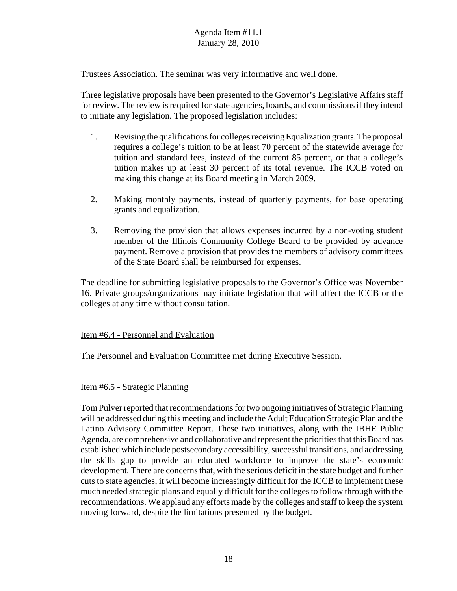Trustees Association. The seminar was very informative and well done.

Three legislative proposals have been presented to the Governor's Legislative Affairs staff for review. The review is required for state agencies, boards, and commissions if they intend to initiate any legislation. The proposed legislation includes:

- 1. Revising the qualifications for colleges receiving Equalization grants. The proposal requires a college's tuition to be at least 70 percent of the statewide average for tuition and standard fees, instead of the current 85 percent, or that a college's tuition makes up at least 30 percent of its total revenue. The ICCB voted on making this change at its Board meeting in March 2009.
- 2. Making monthly payments, instead of quarterly payments, for base operating grants and equalization.
- 3. Removing the provision that allows expenses incurred by a non-voting student member of the Illinois Community College Board to be provided by advance payment. Remove a provision that provides the members of advisory committees of the State Board shall be reimbursed for expenses.

The deadline for submitting legislative proposals to the Governor's Office was November 16. Private groups/organizations may initiate legislation that will affect the ICCB or the colleges at any time without consultation.

## Item #6.4 - Personnel and Evaluation

The Personnel and Evaluation Committee met during Executive Session.

#### Item #6.5 - Strategic Planning

Tom Pulver reported that recommendations for two ongoing initiatives of Strategic Planning will be addressed during this meeting and include the Adult Education Strategic Plan and the Latino Advisory Committee Report. These two initiatives, along with the IBHE Public Agenda, are comprehensive and collaborative and represent the priorities that this Board has established which include postsecondary accessibility, successful transitions, and addressing the skills gap to provide an educated workforce to improve the state's economic development. There are concerns that, with the serious deficit in the state budget and further cuts to state agencies, it will become increasingly difficult for the ICCB to implement these much needed strategic plans and equally difficult for the colleges to follow through with the recommendations. We applaud any efforts made by the colleges and staff to keep the system moving forward, despite the limitations presented by the budget.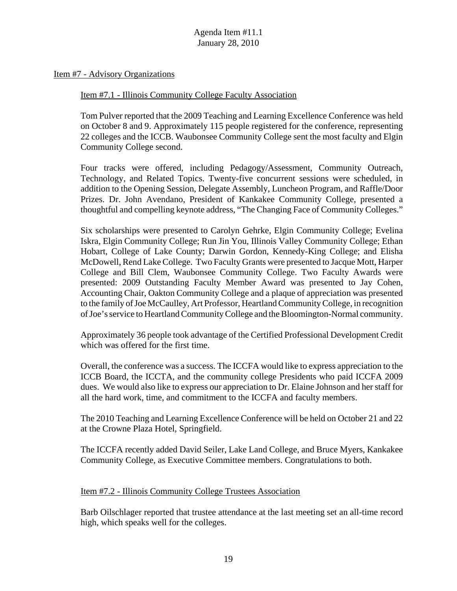Item #7 - Advisory Organizations

Item #7.1 - Illinois Community College Faculty Association

Tom Pulver reported that the 2009 Teaching and Learning Excellence Conference was held on October 8 and 9. Approximately 115 people registered for the conference, representing 22 colleges and the ICCB. Waubonsee Community College sent the most faculty and Elgin Community College second.

Four tracks were offered, including Pedagogy/Assessment, Community Outreach, Technology, and Related Topics. Twenty-five concurrent sessions were scheduled, in addition to the Opening Session, Delegate Assembly, Luncheon Program, and Raffle/Door Prizes. Dr. John Avendano, President of Kankakee Community College, presented a thoughtful and compelling keynote address, "The Changing Face of Community Colleges."

Six scholarships were presented to Carolyn Gehrke, Elgin Community College; Evelina Iskra, Elgin Community College; Run Jin You, Illinois Valley Community College; Ethan Hobart, College of Lake County; Darwin Gordon, Kennedy-King College; and Elisha McDowell, Rend Lake College. Two Faculty Grants were presented to Jacque Mott, Harper College and Bill Clem, Waubonsee Community College. Two Faculty Awards were presented: 2009 Outstanding Faculty Member Award was presented to Jay Cohen, Accounting Chair, Oakton Community College and a plaque of appreciation was presented to the family of Joe McCaulley, Art Professor, Heartland Community College, in recognition of Joe's service to Heartland Community College and the Bloomington-Normal community.

Approximately 36 people took advantage of the Certified Professional Development Credit which was offered for the first time.

Overall, the conference was a success. The ICCFA would like to express appreciation to the ICCB Board, the ICCTA, and the community college Presidents who paid ICCFA 2009 dues. We would also like to express our appreciation to Dr. Elaine Johnson and her staff for all the hard work, time, and commitment to the ICCFA and faculty members.

The 2010 Teaching and Learning Excellence Conference will be held on October 21 and 22 at the Crowne Plaza Hotel, Springfield.

The ICCFA recently added David Seiler, Lake Land College, and Bruce Myers, Kankakee Community College, as Executive Committee members. Congratulations to both.

#### Item #7.2 - Illinois Community College Trustees Association

Barb Oilschlager reported that trustee attendance at the last meeting set an all-time record high, which speaks well for the colleges.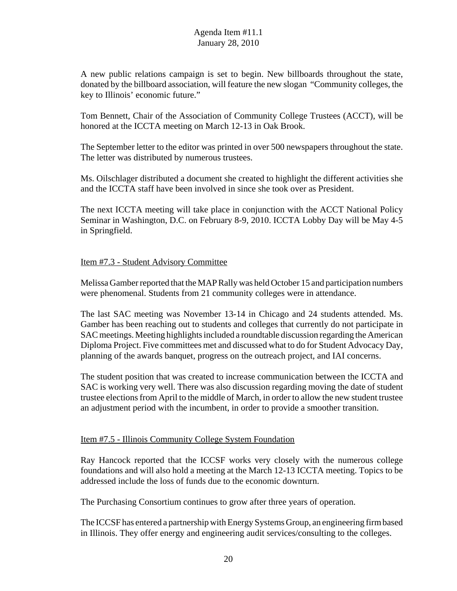A new public relations campaign is set to begin. New billboards throughout the state, donated by the billboard association, will feature the new slogan "Community colleges, the key to Illinois' economic future."

Tom Bennett, Chair of the Association of Community College Trustees (ACCT), will be honored at the ICCTA meeting on March 12-13 in Oak Brook.

The September letter to the editor was printed in over 500 newspapers throughout the state. The letter was distributed by numerous trustees.

Ms. Oilschlager distributed a document she created to highlight the different activities she and the ICCTA staff have been involved in since she took over as President.

The next ICCTA meeting will take place in conjunction with the ACCT National Policy Seminar in Washington, D.C. on February 8-9, 2010. ICCTA Lobby Day will be May 4-5 in Springfield.

## Item #7.3 - Student Advisory Committee

Melissa Gamber reported that the MAP Rally was held October 15 and participation numbers were phenomenal. Students from 21 community colleges were in attendance.

The last SAC meeting was November 13-14 in Chicago and 24 students attended. Ms. Gamber has been reaching out to students and colleges that currently do not participate in SAC meetings. Meeting highlights included a roundtable discussion regarding the American Diploma Project. Five committees met and discussed what to do for Student Advocacy Day, planning of the awards banquet, progress on the outreach project, and IAI concerns.

The student position that was created to increase communication between the ICCTA and SAC is working very well. There was also discussion regarding moving the date of student trustee elections from April to the middle of March, in order to allow the new student trustee an adjustment period with the incumbent, in order to provide a smoother transition.

## Item #7.5 - Illinois Community College System Foundation

Ray Hancock reported that the ICCSF works very closely with the numerous college foundations and will also hold a meeting at the March 12-13 ICCTA meeting. Topics to be addressed include the loss of funds due to the economic downturn.

The Purchasing Consortium continues to grow after three years of operation.

The ICCSF has entered a partnership with Energy Systems Group, an engineering firm based in Illinois. They offer energy and engineering audit services/consulting to the colleges.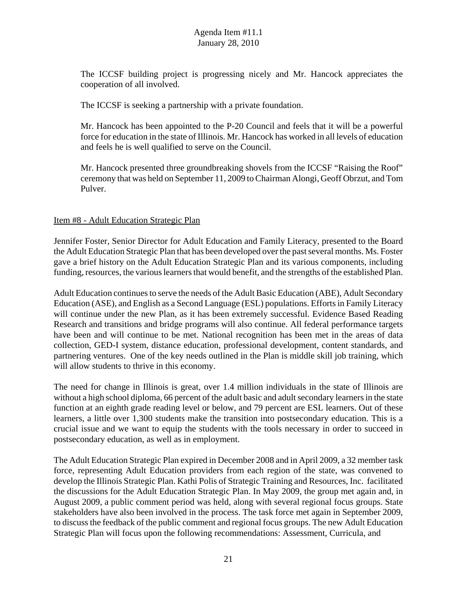The ICCSF building project is progressing nicely and Mr. Hancock appreciates the cooperation of all involved.

The ICCSF is seeking a partnership with a private foundation.

Mr. Hancock has been appointed to the P-20 Council and feels that it will be a powerful force for education in the state of Illinois. Mr. Hancock has worked in all levels of education and feels he is well qualified to serve on the Council.

Mr. Hancock presented three groundbreaking shovels from the ICCSF "Raising the Roof" ceremony that was held on September 11, 2009 to Chairman Alongi, Geoff Obrzut, and Tom Pulver.

### Item #8 - Adult Education Strategic Plan

Jennifer Foster, Senior Director for Adult Education and Family Literacy, presented to the Board the Adult Education Strategic Plan that has been developed over the past several months. Ms. Foster gave a brief history on the Adult Education Strategic Plan and its various components, including funding, resources, the various learners that would benefit, and the strengths of the established Plan.

Adult Education continues to serve the needs of the Adult Basic Education (ABE), Adult Secondary Education (ASE), and English as a Second Language (ESL) populations. Efforts in Family Literacy will continue under the new Plan, as it has been extremely successful. Evidence Based Reading Research and transitions and bridge programs will also continue. All federal performance targets have been and will continue to be met. National recognition has been met in the areas of data collection, GED-I system, distance education, professional development, content standards, and partnering ventures. One of the key needs outlined in the Plan is middle skill job training, which will allow students to thrive in this economy.

The need for change in Illinois is great, over 1.4 million individuals in the state of Illinois are without a high school diploma, 66 percent of the adult basic and adult secondary learners in the state function at an eighth grade reading level or below, and 79 percent are ESL learners. Out of these learners, a little over 1,300 students make the transition into postsecondary education. This is a crucial issue and we want to equip the students with the tools necessary in order to succeed in postsecondary education, as well as in employment.

The Adult Education Strategic Plan expired in December 2008 and in April 2009, a 32 member task force, representing Adult Education providers from each region of the state, was convened to develop the Illinois Strategic Plan. Kathi Polis of Strategic Training and Resources, Inc. facilitated the discussions for the Adult Education Strategic Plan. In May 2009, the group met again and, in August 2009, a public comment period was held, along with several regional focus groups. State stakeholders have also been involved in the process. The task force met again in September 2009, to discuss the feedback of the public comment and regional focus groups. The new Adult Education Strategic Plan will focus upon the following recommendations: Assessment, Curricula, and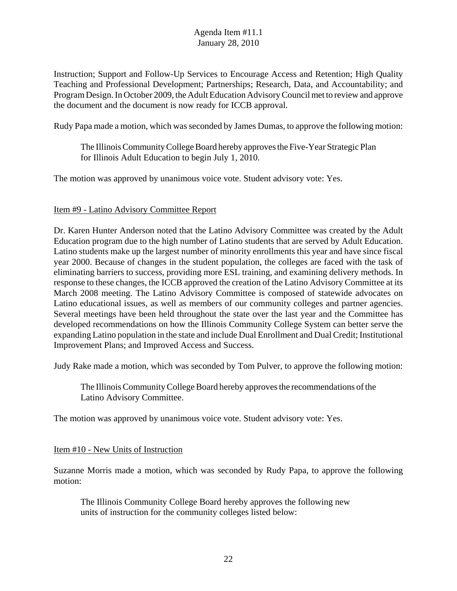Instruction; Support and Follow-Up Services to Encourage Access and Retention; High Quality Teaching and Professional Development; Partnerships; Research, Data, and Accountability; and Program Design. In October 2009, the Adult Education Advisory Council met to review and approve the document and the document is now ready for ICCB approval.

Rudy Papa made a motion, which was seconded by James Dumas, to approve the following motion:

The Illinois Community College Board hereby approves the Five-Year Strategic Plan for Illinois Adult Education to begin July 1, 2010.

The motion was approved by unanimous voice vote. Student advisory vote: Yes.

### Item #9 - Latino Advisory Committee Report

Dr. Karen Hunter Anderson noted that the Latino Advisory Committee was created by the Adult Education program due to the high number of Latino students that are served by Adult Education. Latino students make up the largest number of minority enrollments this year and have since fiscal year 2000. Because of changes in the student population, the colleges are faced with the task of eliminating barriers to success, providing more ESL training, and examining delivery methods. In response to these changes, the ICCB approved the creation of the Latino Advisory Committee at its March 2008 meeting. The Latino Advisory Committee is composed of statewide advocates on Latino educational issues, as well as members of our community colleges and partner agencies. Several meetings have been held throughout the state over the last year and the Committee has developed recommendations on how the Illinois Community College System can better serve the expanding Latino population in the state and include Dual Enrollment and Dual Credit; Institutional Improvement Plans; and Improved Access and Success.

Judy Rake made a motion, which was seconded by Tom Pulver, to approve the following motion:

The Illinois Community College Board hereby approves the recommendations of the Latino Advisory Committee.

The motion was approved by unanimous voice vote. Student advisory vote: Yes.

#### Item #10 - New Units of Instruction

Suzanne Morris made a motion, which was seconded by Rudy Papa, to approve the following motion:

The Illinois Community College Board hereby approves the following new units of instruction for the community colleges listed below: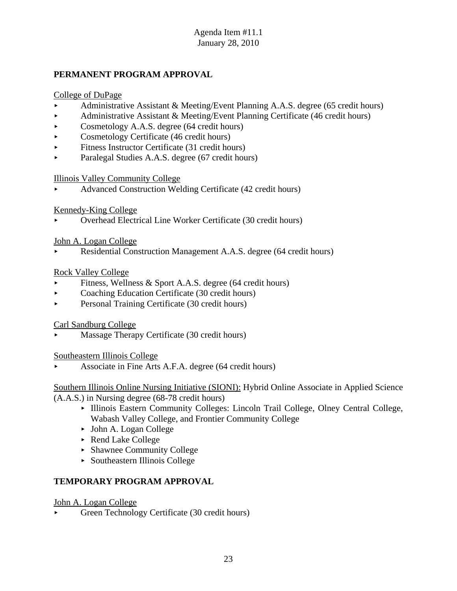# **PERMANENT PROGRAM APPROVAL**

# College of DuPage

- < Administrative Assistant & Meeting/Event Planning A.A.S. degree (65 credit hours)
- Administrative Assistant & Meeting/Event Planning Certificate (46 credit hours)
- $\triangleright$  Cosmetology A.A.S. degree (64 credit hours)
- $\triangleright$  Cosmetology Certificate (46 credit hours)
- $\blacktriangleright$  Fitness Instructor Certificate (31 credit hours)
- < Paralegal Studies A.A.S. degree (67 credit hours)

## Illinois Valley Community College

< Advanced Construction Welding Certificate (42 credit hours)

# Kennedy-King College

< Overhead Electrical Line Worker Certificate (30 credit hours)

## John A. Logan College

Residential Construction Management A.A.S. degree (64 credit hours)

# Rock Valley College

- Fitness, Wellness & Sport A.A.S. degree (64 credit hours)
- $\triangleright$  Coaching Education Certificate (30 credit hours)
- Personal Training Certificate (30 credit hours)

# Carl Sandburg College

< Massage Therapy Certificate (30 credit hours)

## Southeastern Illinois College

< Associate in Fine Arts A.F.A. degree (64 credit hours)

Southern Illinois Online Nursing Initiative (SIONI): Hybrid Online Associate in Applied Science (A.A.S.) in Nursing degree (68-78 credit hours)

- < Illinois Eastern Community Colleges: Lincoln Trail College, Olney Central College, Wabash Valley College, and Frontier Community College
- ► John A. Logan College
- ▶ Rend Lake College
- < Shawnee Community College
- < Southeastern Illinois College

# **TEMPORARY PROGRAM APPROVAL**

John A. Logan College

< Green Technology Certificate (30 credit hours)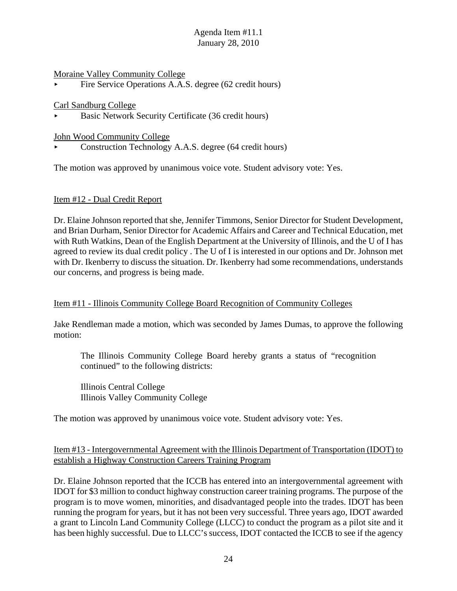#### Moraine Valley Community College

Fire Service Operations A.A.S. degree (62 credit hours)

#### Carl Sandburg College

< Basic Network Security Certificate (36 credit hours)

#### John Wood Community College

< Construction Technology A.A.S. degree (64 credit hours)

The motion was approved by unanimous voice vote. Student advisory vote: Yes.

#### Item #12 - Dual Credit Report

Dr. Elaine Johnson reported that she, Jennifer Timmons, Senior Director for Student Development, and Brian Durham, Senior Director for Academic Affairs and Career and Technical Education, met with Ruth Watkins, Dean of the English Department at the University of Illinois, and the U of I has agreed to review its dual credit policy . The U of I is interested in our options and Dr. Johnson met with Dr. Ikenberry to discuss the situation. Dr. Ikenberry had some recommendations, understands our concerns, and progress is being made.

#### Item #11 - Illinois Community College Board Recognition of Community Colleges

Jake Rendleman made a motion, which was seconded by James Dumas, to approve the following motion:

The Illinois Community College Board hereby grants a status of "recognition continued" to the following districts:

Illinois Central College Illinois Valley Community College

The motion was approved by unanimous voice vote. Student advisory vote: Yes.

### Item #13 - Intergovernmental Agreement with the Illinois Department of Transportation (IDOT) to establish a Highway Construction Careers Training Program

Dr. Elaine Johnson reported that the ICCB has entered into an intergovernmental agreement with IDOT for \$3 million to conduct highway construction career training programs. The purpose of the program is to move women, minorities, and disadvantaged people into the trades. IDOT has been running the program for years, but it has not been very successful. Three years ago, IDOT awarded a grant to Lincoln Land Community College (LLCC) to conduct the program as a pilot site and it has been highly successful. Due to LLCC's success, IDOT contacted the ICCB to see if the agency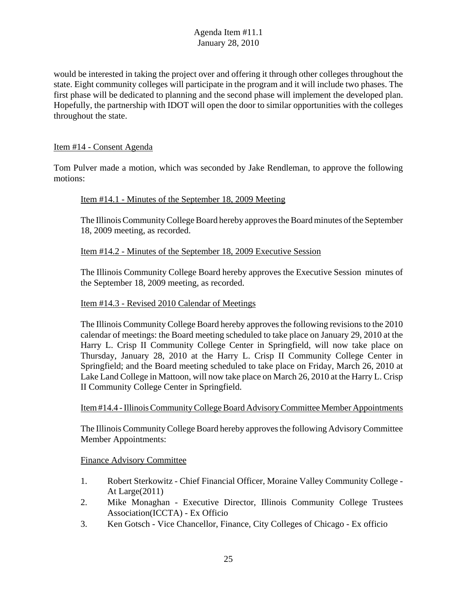would be interested in taking the project over and offering it through other colleges throughout the state. Eight community colleges will participate in the program and it will include two phases. The first phase will be dedicated to planning and the second phase will implement the developed plan. Hopefully, the partnership with IDOT will open the door to similar opportunities with the colleges throughout the state.

## Item #14 - Consent Agenda

Tom Pulver made a motion, which was seconded by Jake Rendleman, to approve the following motions:

### Item #14.1 - Minutes of the September 18, 2009 Meeting

The Illinois Community College Board hereby approves the Board minutes of the September 18, 2009 meeting, as recorded.

### Item #14.2 - Minutes of the September 18, 2009 Executive Session

The Illinois Community College Board hereby approves the Executive Session minutes of the September 18, 2009 meeting, as recorded.

#### Item #14.3 - Revised 2010 Calendar of Meetings

The Illinois Community College Board hereby approves the following revisions to the 2010 calendar of meetings: the Board meeting scheduled to take place on January 29, 2010 at the Harry L. Crisp II Community College Center in Springfield, will now take place on Thursday, January 28, 2010 at the Harry L. Crisp II Community College Center in Springfield; and the Board meeting scheduled to take place on Friday, March 26, 2010 at Lake Land College in Mattoon, will now take place on March 26, 2010 at the Harry L. Crisp II Community College Center in Springfield.

#### Item #14.4 - Illinois Community College Board Advisory Committee Member Appointments

The Illinois Community College Board hereby approves the following Advisory Committee Member Appointments:

#### Finance Advisory Committee

- 1. Robert Sterkowitz Chief Financial Officer, Moraine Valley Community College At Large(2011)
- 2. Mike Monaghan Executive Director, Illinois Community College Trustees Association(ICCTA) - Ex Officio
- 3. Ken Gotsch Vice Chancellor, Finance, City Colleges of Chicago Ex officio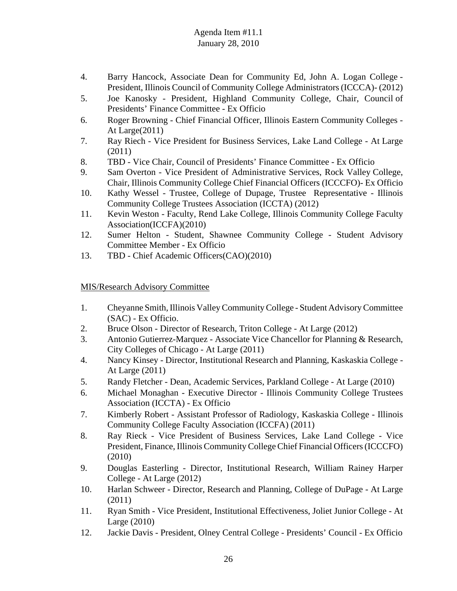- 4. Barry Hancock, Associate Dean for Community Ed, John A. Logan College President, Illinois Council of Community College Administrators (ICCCA)- (2012)
- 5. Joe Kanosky President, Highland Community College, Chair, Council of Presidents' Finance Committee - Ex Officio
- 6. Roger Browning Chief Financial Officer, Illinois Eastern Community Colleges At Large(2011)
- 7. Ray Riech Vice President for Business Services, Lake Land College At Large (2011)
- 8. TBD Vice Chair, Council of Presidents' Finance Committee Ex Officio
- 9. Sam Overton Vice President of Administrative Services, Rock Valley College, Chair, Illinois Community College Chief Financial Officers (ICCCFO)- Ex Officio
- 10. Kathy Wessel Trustee, College of Dupage, Trustee Representative Illinois Community College Trustees Association (ICCTA) (2012)
- 11. Kevin Weston Faculty, Rend Lake College, Illinois Community College Faculty Association(ICCFA)(2010)
- 12. Sumer Helton Student, Shawnee Community College Student Advisory Committee Member - Ex Officio
- 13. TBD Chief Academic Officers(CAO)(2010)

## MIS/Research Advisory Committee

- 1. Cheyanne Smith, Illinois Valley Community College Student Advisory Committee (SAC) - Ex Officio.
- 2. Bruce Olson Director of Research, Triton College At Large (2012)
- 3. Antonio Gutierrez-Marquez Associate Vice Chancellor for Planning & Research, City Colleges of Chicago - At Large (2011)
- 4. Nancy Kinsey Director, Institutional Research and Planning, Kaskaskia College At Large (2011)
- 5. Randy Fletcher Dean, Academic Services, Parkland College At Large (2010)
- 6. Michael Monaghan Executive Director Illinois Community College Trustees Association (ICCTA) - Ex Officio
- 7. Kimberly Robert Assistant Professor of Radiology, Kaskaskia College Illinois Community College Faculty Association (ICCFA) (2011)
- 8. Ray Rieck Vice President of Business Services, Lake Land College Vice President, Finance, Illinois Community College Chief Financial Officers (ICCCFO) (2010)
- 9. Douglas Easterling Director, Institutional Research, William Rainey Harper College - At Large (2012)
- 10. Harlan Schweer Director, Research and Planning, College of DuPage At Large (2011)
- 11. Ryan Smith Vice President, Institutional Effectiveness, Joliet Junior College At Large (2010)
- 12. Jackie Davis President, Olney Central College Presidents' Council Ex Officio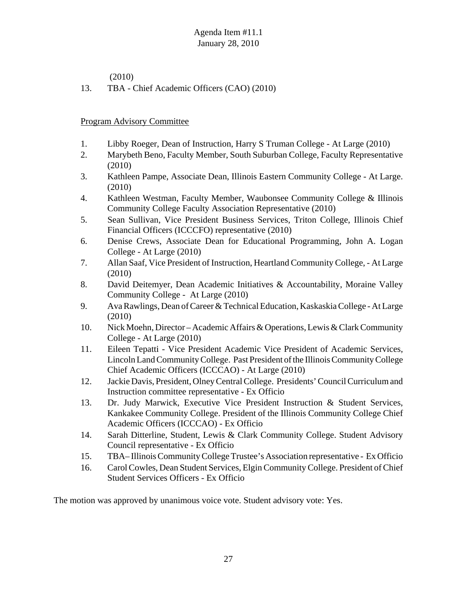(2010)

13. TBA - Chief Academic Officers (CAO) (2010)

# Program Advisory Committee

- 1. Libby Roeger, Dean of Instruction, Harry S Truman College At Large (2010)
- 2. Marybeth Beno, Faculty Member, South Suburban College, Faculty Representative (2010)
- 3. Kathleen Pampe, Associate Dean, Illinois Eastern Community College At Large. (2010)
- 4. Kathleen Westman, Faculty Member, Waubonsee Community College & Illinois Community College Faculty Association Representative (2010)
- 5. Sean Sullivan, Vice President Business Services, Triton College, Illinois Chief Financial Officers (ICCCFO) representative (2010)
- 6. Denise Crews, Associate Dean for Educational Programming, John A. Logan College - At Large (2010)
- 7. Allan Saaf, Vice President of Instruction, Heartland Community College, At Large (2010)
- 8. David Deitemyer, Dean Academic Initiatives & Accountability, Moraine Valley Community College - At Large (2010)
- 9. Ava Rawlings, Dean of Career & Technical Education, Kaskaskia College At Large (2010)
- 10. Nick Moehn, Director Academic Affairs & Operations, Lewis & Clark Community College - At Large (2010)
- 11. Eileen Tepatti Vice President Academic Vice President of Academic Services, Lincoln Land Community College. Past President of the Illinois Community College Chief Academic Officers (ICCCAO) - At Large (2010)
- 12. Jackie Davis, President, Olney Central College. Presidents' Council Curriculum and Instruction committee representative - Ex Officio
- 13. Dr. Judy Marwick, Executive Vice President Instruction & Student Services, Kankakee Community College. President of the Illinois Community College Chief Academic Officers (ICCCAO) - Ex Officio
- 14. Sarah Ditterline, Student, Lewis & Clark Community College. Student Advisory Council representative - Ex Officio
- 15. TBA– Illinois Community College Trustee's Association representative Ex Officio
- 16. Carol Cowles, Dean Student Services, Elgin Community College. President of Chief Student Services Officers - Ex Officio

The motion was approved by unanimous voice vote. Student advisory vote: Yes.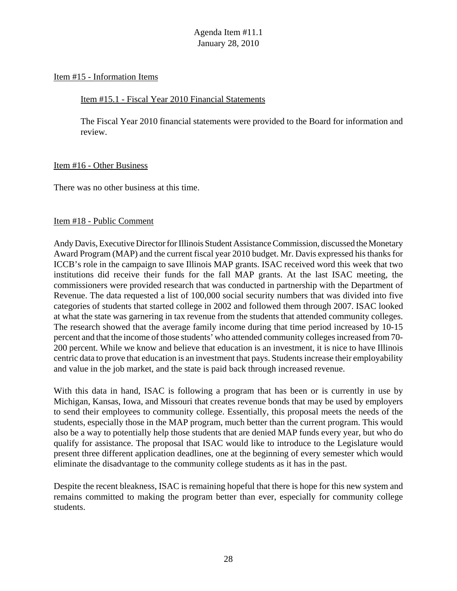#### Item #15 - Information Items

### Item #15.1 - Fiscal Year 2010 Financial Statements

The Fiscal Year 2010 financial statements were provided to the Board for information and review.

### Item #16 - Other Business

There was no other business at this time.

### Item #18 - Public Comment

Andy Davis, Executive Director for Illinois Student Assistance Commission, discussed the Monetary Award Program (MAP) and the current fiscal year 2010 budget. Mr. Davis expressed his thanks for ICCB's role in the campaign to save Illinois MAP grants. ISAC received word this week that two institutions did receive their funds for the fall MAP grants. At the last ISAC meeting, the commissioners were provided research that was conducted in partnership with the Department of Revenue. The data requested a list of 100,000 social security numbers that was divided into five categories of students that started college in 2002 and followed them through 2007. ISAC looked at what the state was garnering in tax revenue from the students that attended community colleges. The research showed that the average family income during that time period increased by 10-15 percent and that the income of those students' who attended community colleges increased from 70- 200 percent. While we know and believe that education is an investment, it is nice to have Illinois centric data to prove that education is an investment that pays. Students increase their employability and value in the job market, and the state is paid back through increased revenue.

With this data in hand, ISAC is following a program that has been or is currently in use by Michigan, Kansas, Iowa, and Missouri that creates revenue bonds that may be used by employers to send their employees to community college. Essentially, this proposal meets the needs of the students, especially those in the MAP program, much better than the current program. This would also be a way to potentially help those students that are denied MAP funds every year, but who do qualify for assistance. The proposal that ISAC would like to introduce to the Legislature would present three different application deadlines, one at the beginning of every semester which would eliminate the disadvantage to the community college students as it has in the past.

Despite the recent bleakness, ISAC is remaining hopeful that there is hope for this new system and remains committed to making the program better than ever, especially for community college students.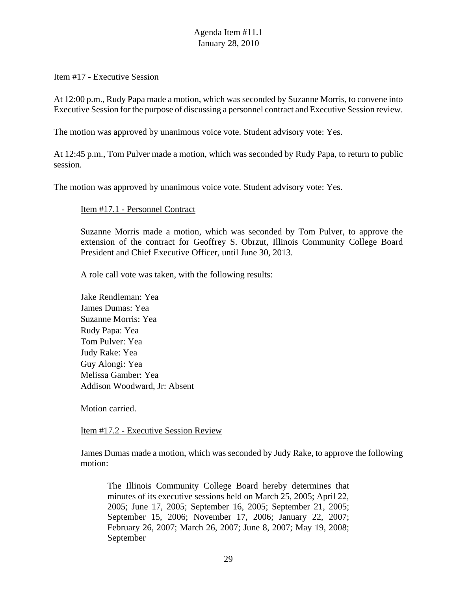#### Item #17 - Executive Session

At 12:00 p.m., Rudy Papa made a motion, which was seconded by Suzanne Morris, to convene into Executive Session for the purpose of discussing a personnel contract and Executive Session review.

The motion was approved by unanimous voice vote. Student advisory vote: Yes.

At 12:45 p.m., Tom Pulver made a motion, which was seconded by Rudy Papa, to return to public session.

The motion was approved by unanimous voice vote. Student advisory vote: Yes.

#### Item #17.1 - Personnel Contract

Suzanne Morris made a motion, which was seconded by Tom Pulver, to approve the extension of the contract for Geoffrey S. Obrzut, Illinois Community College Board President and Chief Executive Officer, until June 30, 2013.

A role call vote was taken, with the following results:

Jake Rendleman: Yea James Dumas: Yea Suzanne Morris: Yea Rudy Papa: Yea Tom Pulver: Yea Judy Rake: Yea Guy Alongi: Yea Melissa Gamber: Yea Addison Woodward, Jr: Absent

Motion carried.

Item #17.2 - Executive Session Review

James Dumas made a motion, which was seconded by Judy Rake, to approve the following motion:

The Illinois Community College Board hereby determines that minutes of its executive sessions held on March 25, 2005; April 22, 2005; June 17, 2005; September 16, 2005; September 21, 2005; September 15, 2006; November 17, 2006; January 22, 2007; February 26, 2007; March 26, 2007; June 8, 2007; May 19, 2008; September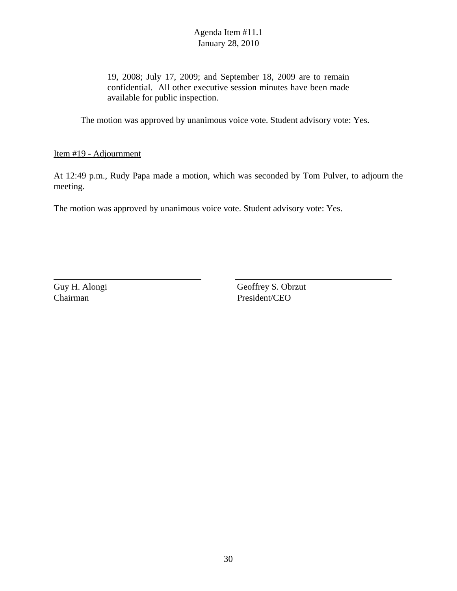19, 2008; July 17, 2009; and September 18, 2009 are to remain confidential. All other executive session minutes have been made available for public inspection.

The motion was approved by unanimous voice vote. Student advisory vote: Yes.

Item #19 - Adjournment

At 12:49 p.m., Rudy Papa made a motion, which was seconded by Tom Pulver, to adjourn the meeting.

The motion was approved by unanimous voice vote. Student advisory vote: Yes.

Guy H. Alongi Geoffrey S. Obrzut Chairman President/CEO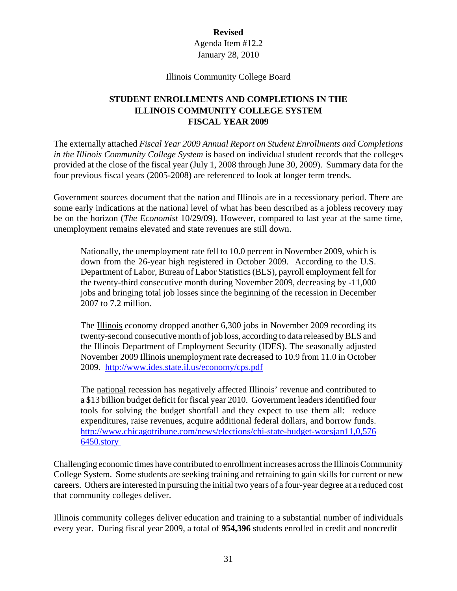# **Revised**

Agenda Item #12.2 January 28, 2010

Illinois Community College Board

# **STUDENT ENROLLMENTS AND COMPLETIONS IN THE ILLINOIS COMMUNITY COLLEGE SYSTEM FISCAL YEAR 2009**

The externally attached *Fiscal Year 2009 Annual Report on Student Enrollments and Completions in the Illinois Community College System* is based on individual student records that the colleges provided at the close of the fiscal year (July 1, 2008 through June 30, 2009). Summary data for the four previous fiscal years (2005-2008) are referenced to look at longer term trends.

Government sources document that the nation and Illinois are in a recessionary period. There are some early indications at the national level of what has been described as a jobless recovery may be on the horizon (*The Economist* 10/29/09). However, compared to last year at the same time, unemployment remains elevated and state revenues are still down.

Nationally, the unemployment rate fell to 10.0 percent in November 2009, which is down from the 26-year high registered in October 2009. According to the U.S. Department of Labor, Bureau of Labor Statistics (BLS), payroll employment fell for the twenty-third consecutive month during November 2009, decreasing by -11,000 jobs and bringing total job losses since the beginning of the recession in December 2007 to 7.2 million.

The Illinois economy dropped another 6,300 jobs in November 2009 recording its twenty-second consecutive month of job loss, according to data released by BLS and the Illinois Department of Employment Security (IDES). The seasonally adjusted November 2009 Illinois unemployment rate decreased to 10.9 from 11.0 in October 2009. http://www.ides.state.il.us/economy/cps.pdf

The national recession has negatively affected Illinois' revenue and contributed to a \$13 billion budget deficit for fiscal year 2010. Government leaders identified four tools for solving the budget shortfall and they expect to use them all: reduce expenditures, raise revenues, acquire additional federal dollars, and borrow funds. http://www.chicagotribune.com/news/elections/chi-state-budget-woesjan11,0,576 6450.story

Challenging economic times have contributed to enrollment increases across the Illinois Community College System. Some students are seeking training and retraining to gain skills for current or new careers. Others are interested in pursuing the initial two years of a four-year degree at a reduced cost that community colleges deliver.

Illinois community colleges deliver education and training to a substantial number of individuals every year. During fiscal year 2009, a total of **954,396** students enrolled in credit and noncredit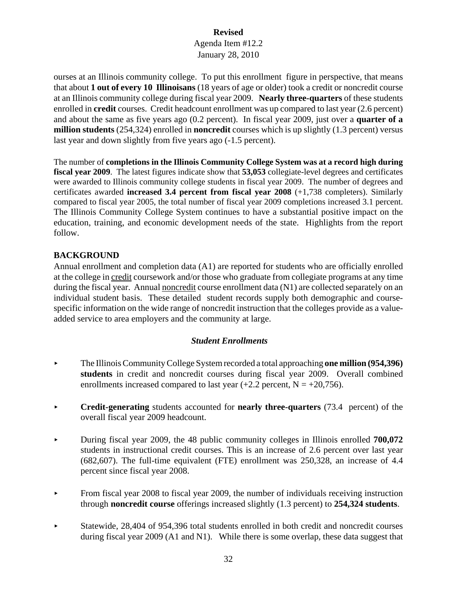# **Revised**

## Agenda Item #12.2 January 28, 2010

ourses at an Illinois community college. To put this enrollment figure in perspective, that means that about **1 out of every 10 Illinoisans** (18 years of age or older) took a credit or noncredit course at an Illinois community college during fiscal year 2009. **Nearly three-quarters** of these students enrolled in **credit** courses. Credit headcount enrollment was up compared to last year (2.6 percent) and about the same as five years ago (0.2 percent). In fiscal year 2009, just over a **quarter of a million students** (254,324) enrolled in **noncredit** courses which is up slightly (1.3 percent) versus last year and down slightly from five years ago (-1.5 percent).

The number of **completions in the Illinois Community College System was at a record high during fiscal year 2009**. The latest figures indicate show that **53,053** collegiate-level degrees and certificates were awarded to Illinois community college students in fiscal year 2009. The number of degrees and certificates awarded **increased 3.4 percent from fiscal year 2008** (+1,738 completers). Similarly compared to fiscal year 2005, the total number of fiscal year 2009 completions increased 3.1 percent. The Illinois Community College System continues to have a substantial positive impact on the education, training, and economic development needs of the state. Highlights from the report follow.

# **BACKGROUND**

Annual enrollment and completion data (A1) are reported for students who are officially enrolled at the college in credit coursework and/or those who graduate from collegiate programs at any time during the fiscal year. Annual noncredit course enrollment data (N1) are collected separately on an individual student basis. These detailed student records supply both demographic and coursespecific information on the wide range of noncredit instruction that the colleges provide as a valueadded service to area employers and the community at large.

## *Student Enrollments*

- < The Illinois Community College System recorded a total approaching **one million (954,396) students** in credit and noncredit courses during fiscal year 2009. Overall combined enrollments increased compared to last year  $(+2.2$  percent,  $N = +20,756$ .
- **Credit-generating** students accounted for **nearly three-quarters** (73.4 percent) of the overall fiscal year 2009 headcount.
- < During fiscal year 2009, the 48 public community colleges in Illinois enrolled **700,072** students in instructional credit courses. This is an increase of 2.6 percent over last year (682,607). The full-time equivalent (FTE) enrollment was 250,328, an increase of 4.4 percent since fiscal year 2008.
- From fiscal year 2008 to fiscal year 2009, the number of individuals receiving instruction through **noncredit course** offerings increased slightly (1.3 percent) to **254,324 students**.
- < Statewide, 28,404 of 954,396 total students enrolled in both credit and noncredit courses during fiscal year 2009 (A1 and N1). While there is some overlap, these data suggest that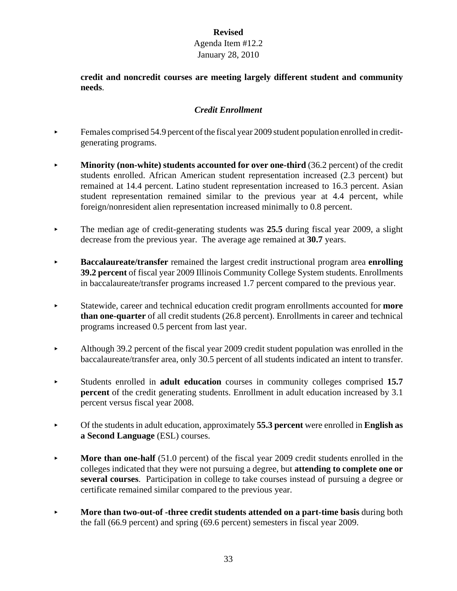**credit and noncredit courses are meeting largely different student and community needs**.

# *Credit Enrollment*

- $\blacktriangleright$  Females comprised 54.9 percent of the fiscal year 2009 student population enrolled in creditgenerating programs.
- **Minority (non-white) students accounted for over one-third (36.2 percent) of the credit** students enrolled. African American student representation increased (2.3 percent) but remained at 14.4 percent. Latino student representation increased to 16.3 percent. Asian student representation remained similar to the previous year at 4.4 percent, while foreign/nonresident alien representation increased minimally to 0.8 percent.
- The median age of credit-generating students was 25.5 during fiscal year 2009, a slight decrease from the previous year. The average age remained at **30.7** years.
- < **Baccalaureate/transfer** remained the largest credit instructional program area **enrolling 39.2 percent** of fiscal year 2009 Illinois Community College System students. Enrollments in baccalaureate/transfer programs increased 1.7 percent compared to the previous year.
- < Statewide, career and technical education credit program enrollments accounted for **more than one-quarter** of all credit students (26.8 percent). Enrollments in career and technical programs increased 0.5 percent from last year.
- Although 39.2 percent of the fiscal year 2009 credit student population was enrolled in the baccalaureate/transfer area, only 30.5 percent of all students indicated an intent to transfer.
- < Students enrolled in **adult education** courses in community colleges comprised **15.7 percent** of the credit generating students. Enrollment in adult education increased by 3.1 percent versus fiscal year 2008.
- < Of the students in adult education, approximately **55.3 percent** were enrolled in **English as a Second Language** (ESL) courses.
- **More than one-half** (51.0 percent) of the fiscal year 2009 credit students enrolled in the colleges indicated that they were not pursuing a degree, but **attending to complete one or several courses**. Participation in college to take courses instead of pursuing a degree or certificate remained similar compared to the previous year.
- **More than two-out-of-three credit students attended on a part-time basis during both** the fall (66.9 percent) and spring (69.6 percent) semesters in fiscal year 2009.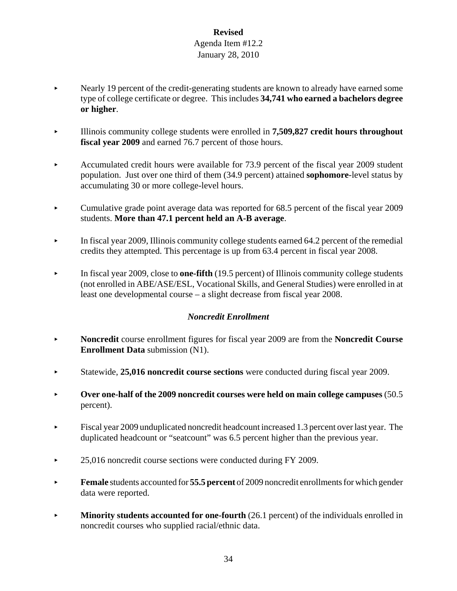- < Nearly 19 percent of the credit-generating students are known to already have earned some type of college certificate or degree. This includes **34,741 who earned a bachelors degree or higher**.
- < Illinois community college students were enrolled in **7,509,827 credit hours throughout fiscal year 2009** and earned 76.7 percent of those hours.
- Accumulated credit hours were available for  $73.9$  percent of the fiscal year 2009 student population. Just over one third of them (34.9 percent) attained **sophomore**-level status by accumulating 30 or more college-level hours.
- Cumulative grade point average data was reported for 68.5 percent of the fiscal year 2009 students. **More than 47.1 percent held an A-B average**.
- $\blacktriangleright$  In fiscal year 2009, Illinois community college students earned 64.2 percent of the remedial credits they attempted. This percentage is up from 63.4 percent in fiscal year 2008.
- **In fiscal year 2009, close to one-fifth** (19.5 percent) of Illinois community college students (not enrolled in ABE/ASE/ESL, Vocational Skills, and General Studies) were enrolled in at least one developmental course – a slight decrease from fiscal year 2008.

# *Noncredit Enrollment*

- < **Noncredit** course enrollment figures for fiscal year 2009 are from the **Noncredit Course Enrollment Data** submission (N1).
- 
- **Over one-half of the 2009 noncredit courses were held on main college campuses** (50.5) percent).
- $\blacktriangleright$  Fiscal year 2009 unduplicated noncredit headcount increased 1.3 percent over last year. The duplicated headcount or "seatcount" was 6.5 percent higher than the previous year.
- ▶ 25,016 noncredit course sections were conducted during FY 2009.
- **Female** students accounted for **55.5 percent** of 2009 noncredit enrollments for which gender data were reported.
- **Minority students accounted for one-fourth** (26.1 percent) of the individuals enrolled in noncredit courses who supplied racial/ethnic data.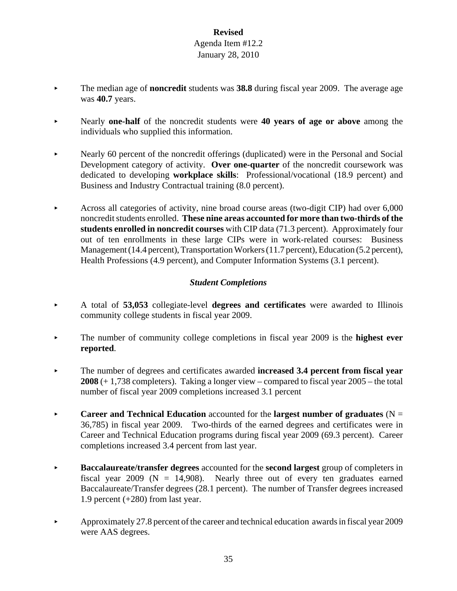- The median age of **noncredit** students was **38.8** during fiscal year 2009. The average age was **40.7** years.
- < Nearly **one-half** of the noncredit students were **40 years of age or above** among the individuals who supplied this information.
- Nearly 60 percent of the noncredit offerings (duplicated) were in the Personal and Social Development category of activity. **Over one-quarter** of the noncredit coursework was dedicated to developing **workplace skills**: Professional/vocational (18.9 percent) and Business and Industry Contractual training (8.0 percent).
- Across all categories of activity, nine broad course areas (two-digit CIP) had over  $6,000$ noncredit students enrolled. **These nine areas accounted for more than two-thirds of the students enrolled in noncredit courses** with CIP data (71.3 percent). Approximately four out of ten enrollments in these large CIPs were in work-related courses: Business Management (14.4 percent), Transportation Workers (11.7 percent), Education (5.2 percent), Health Professions (4.9 percent), and Computer Information Systems (3.1 percent).

# *Student Completions*

- < A total of **53,053** collegiate-level **degrees and certificates** were awarded to Illinois community college students in fiscal year 2009.
- **Example 1** The number of community college completions in fiscal year 2009 is the **highest ever reported**.
- **Example 1** The number of degrees and certificates awarded **increased 3.4 percent from fiscal year 2008** (+ 1,738 completers). Taking a longer view – compared to fiscal year 2005 – the total number of fiscal year 2009 completions increased 3.1 percent
- **Career and Technical Education** accounted for the **largest number of graduates**  $(N =$ 36,785) in fiscal year 2009. Two-thirds of the earned degrees and certificates were in Career and Technical Education programs during fiscal year 2009 (69.3 percent). Career completions increased 3.4 percent from last year.
- < **Baccalaureate/transfer degrees** accounted for the **second largest** group of completers in fiscal year 2009 ( $N = 14,908$ ). Nearly three out of every ten graduates earned Baccalaureate/Transfer degrees (28.1 percent). The number of Transfer degrees increased 1.9 percent (+280) from last year.
- Approximately 27.8 percent of the career and technical education awards in fiscal year 2009 were AAS degrees.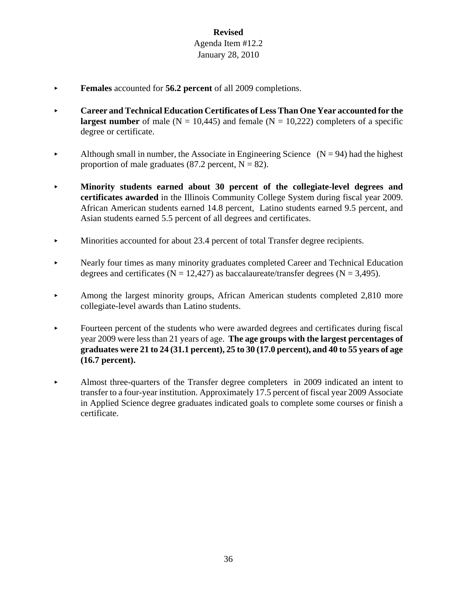- Females accounted for **56.2 percent** of all 2009 completions.
- **EXECUTE:** Career and Technical Education Certificates of Less Than One Year accounted for the **largest number** of male ( $N = 10,445$ ) and female ( $N = 10,222$ ) completers of a specific degree or certificate.
- Although small in number, the Associate in Engineering Science  $(N = 94)$  had the highest proportion of male graduates (87.2 percent,  $N = 82$ ).
- < **Minority students earned about 30 percent of the collegiate-level degrees and certificates awarded** in the Illinois Community College System during fiscal year 2009. African American students earned 14.8 percent, Latino students earned 9.5 percent, and Asian students earned 5.5 percent of all degrees and certificates.
- Minorities accounted for about 23.4 percent of total Transfer degree recipients.
- Example 1 Nearly four times as many minority graduates completed Career and Technical Education degrees and certificates ( $N = 12,427$ ) as baccalaureate/transfer degrees ( $N = 3,495$ ).
- Among the largest minority groups, African American students completed 2,810 more collegiate-level awards than Latino students.
- < Fourteen percent of the students who were awarded degrees and certificates during fiscal year 2009 were less than 21 years of age. **The age groups with the largest percentages of graduates were 21 to 24 (31.1 percent), 25 to 30 (17.0 percent), and 40 to 55 years of age (16.7 percent).**
- < Almost three-quarters of the Transfer degree completers in 2009 indicated an intent to transfer to a four-year institution. Approximately 17.5 percent of fiscal year 2009 Associate in Applied Science degree graduates indicated goals to complete some courses or finish a certificate.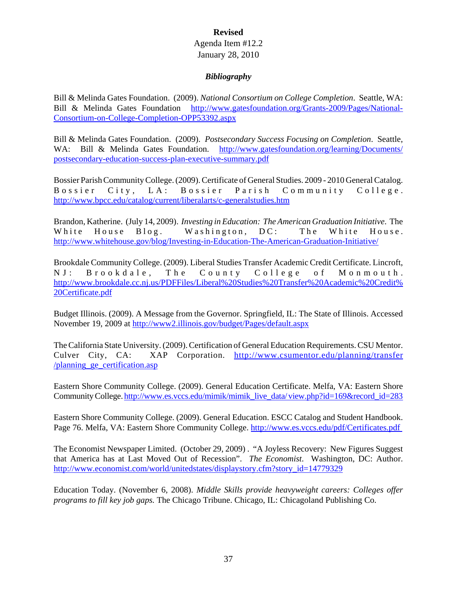#### **Revised**

#### Agenda Item #12.2 January 28, 2010

#### *Bibliography*

Bill & Melinda Gates Foundation. (2009). *National Consortium on College Completion*. Seattle, WA: Bill & Melinda Gates Foundation http://www.gatesfoundation.org/Grants-2009/Pages/National-Consortium-on-College-Completion-OPP53392.aspx

Bill & Melinda Gates Foundation. (2009). *Postsecondary Success Focusing on Completion*. Seattle, WA: Bill & Melinda Gates Foundation. http://www.gatesfoundation.org/learning/Documents/ postsecondary-education-success-plan-executive-summary.pdf

Bossier Parish Community College. (2009). Certificate of General Studies. 2009 - 2010 General Catalog. Bossier City, LA: Bossier Parish Community College. http://www.bpcc.edu/catalog/current/liberalarts/c-generalstudies.htm

Brandon, Katherine. (July 14, 2009). *Investing in Education: The American Graduation Initiative*. The White House Blog. Washington, DC: The White House. http://www.whitehouse.gov/blog/Investing-in-Education-The-American-Graduation-Initiative/

Brookdale Community College. (2009). Liberal Studies Transfer Academic Credit Certificate. Lincroft, NJ: Brookdale, The County College of Monmouth. http://www.brookdale.cc.nj.us/PDFFiles/Liberal%20Studies%20Transfer%20Academic%20Credit% 20Certificate.pdf

Budget Illinois. (2009). A Message from the Governor. Springfield, IL: The State of Illinois. Accessed November 19, 2009 at http://www2.illinois.gov/budget/Pages/default.aspx

The California State University. (2009). Certification of General Education Requirements. CSU Mentor. Culver City, CA: XAP Corporation. http://www.csumentor.edu/planning/transfer /planning\_ge\_certification.asp

Eastern Shore Community College. (2009). General Education Certificate. Melfa, VA: Eastern Shore Community College. http://www.es.vccs.edu/mimik/mimik\_live\_data/ view.php?id=169&record\_id=283

Eastern Shore Community College. (2009). General Education. ESCC Catalog and Student Handbook. Page 76. Melfa, VA: Eastern Shore Community College. http://www.es.vccs.edu/pdf/Certificates.pdf

The Economist Newspaper Limited. (October 29, 2009) . "A Joyless Recovery: New Figures Suggest that America has at Last Moved Out of Recession". *The Economist*. Washington, DC: Author. http://www.economist.com/world/unitedstates/displaystory.cfm?story\_id=14779329

Education Today. (November 6, 2008). *Middle Skills provide heavyweight careers: Colleges offer programs to fill key job gaps.* The Chicago Tribune. Chicago, IL: Chicagoland Publishing Co.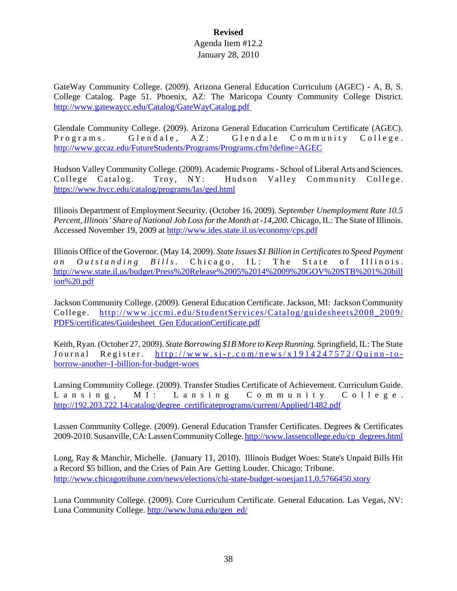GateWay Community College. (2009). Arizona General Education Curriculum (AGEC) - A, B, S. College Catalog. Page 51. Phoenix, AZ: The Maricopa County Community College District. http://www.gatewaycc.edu/Catalog/GateWayCatalog.pdf

Glendale Community College. (2009). Arizona General Education Curriculum Certificate (AGEC). Programs. Glendale, AZ: Glendale Community College. http://www.gccaz.edu/FutureStudents/Programs/Programs.cfm?define=AGEC

Hudson Valley Community College. (2009). Academic Programs - School of Liberal Arts and Sciences. College Catalog. Troy, NY: Hudson Valley Community College. https://www.hvcc.edu/catalog/programs/las/ged.html

Illinois Department of Employment Security. (October 16, 2009). *September Unemployment Rate 10.5 Percent, Illinois' Share of National Job Loss for the Month at -14,200.* Chicago, IL: The State of Illinois. Accessed November 19, 2009 at http://www.ides.state.il.us/economy/cps.pdf

Illinois Office of the Governor. (May 14, 2009). *State Issues \$1 Billion in Certificates to Speed Payment on Outstanding Bills.* Chicago, IL: The State of Illinois. http://www.state.il.us/budget/Press%20Release%2005%2014%2009%20GOV%20STB%201%20bill ion%20.pdf

Jackson Community College. (2009). General Education Certificate. Jackson, MI: Jackson Community College. http://www.jccmi.edu/StudentServices/Catalog/guidesheets2008\_2009/ PDFS/certificates/Guidesheet\_Gen EducationCertificate.pdf

Keith, Ryan. (October 27, 2009). *State Borrowing \$1B More to Keep Running.* Springfield, IL: The State Journal Register. http://www.sj-r.com/news/x1914247572/Quinn-toborrow-another-1-billion-for-budget-woes

Lansing Community College. (2009). Transfer Studies Certificate of Achievement. Curriculum Guide. Lansing, MI: Lansing Community College. http://192.203.222.14/catalog/degree\_certificateprograms/current/Applied/1482.pdf

Lassen Community College. (2009). General Education Transfer Certificates. Degrees & Certificates 2009-2010. Susanville, CA: Lassen Community College. http://www.lassencollege.edu/cp\_degrees.html

Long, Ray & Manchir, Michelle. (January 11, 2010). Illinois Budget Woes: State's Unpaid Bills Hit a Record \$5 billion, and the Cries of Pain Are Getting Louder. Chicago: Tribune. http://www.chicagotribune.com/news/elections/chi-state-budget-woesjan11,0,5766450.story

Luna Community College. (2009). Core Curriculum Certificate. General Education. Las Vegas, NV: Luna Community College. http://www.luna.edu/gen\_ed/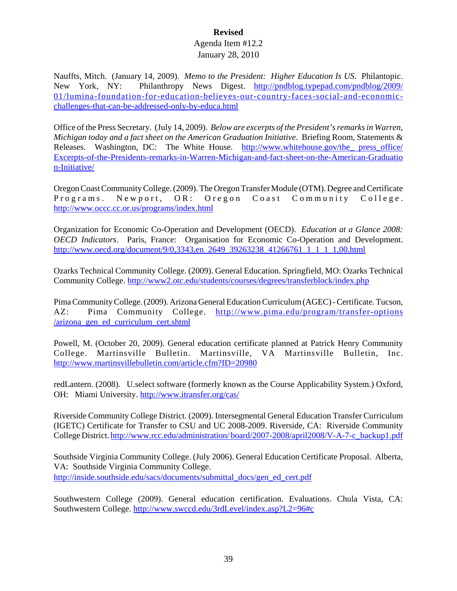Nauffts, Mitch. (January 14, 2009). *Memo to the President: Higher Education Is US*. Philantopic. New York, NY: Philanthropy News Digest. http://pndblog.typepad.com/pndblog/2009/ 01/lumina-foundation-for-education-believes-our-country-faces-social-and-economicchallenges-that-can-be-addressed-only-by-educa.html

Office of the Press Secretary. (July 14, 2009). *Below are excerpts of the President's remarks in Warren, Michigan today and a fact sheet on the American Graduation Initiative*. Briefing Room, Statements & Releases. Washington, DC: The White House. http://www.whitehouse.gov/the press office/ Excerpts-of-the-Presidents-remarks-in-Warren-Michigan-and-fact-sheet-on-the-American-Graduatio n-Initiative/

Oregon Coast Community College. (2009). The Oregon Transfer Module (OTM). Degree and Certificate Programs. Newport, OR: Oregon Coast Community College. http://www.occc.cc.or.us/programs/index.html

Organization for Economic Co-Operation and Development (OECD). *Education at a Glance 2008: OECD Indicators*. Paris, France: Organisation for Economic Co-Operation and Development. http://www.oecd.org/document/9/0,3343,en\_2649\_39263238\_41266761\_1\_1\_1\_1,00.html

Ozarks Technical Community College. (2009). General Education. Springfield, MO: Ozarks Technical Community College. http://www2.otc.edu/students/courses/degrees/transferblock/index.php

Pima Community College. (2009). Arizona General Education Curriculum (AGEC) - Certificate. Tucson, AZ: Pima Community College. http://www.pima.edu/program/transfer-options /arizona\_gen\_ed\_curriculum\_cert.shtml

Powell, M. (October 20, 2009). General education certificate planned at Patrick Henry Community College. Martinsville Bulletin. Martinsville, VA Martinsville Bulletin, Inc. http://www.martinsvillebulletin.com/article.cfm?ID=20980

redLantern. (2008). U.select software (formerly known as the Course Applicability System.) Oxford, OH: Miami University. http://www.itransfer.org/cas/

Riverside Community College District. (2009). Intersegmental General Education Transfer Curriculum (IGETC) Certificate for Transfer to CSU and UC 2008-2009. Riverside, CA: Riverside Community College District. http://www.rcc.edu/administration/ board/2007-2008/april2008/V-A-7-c\_backup1.pdf

Southside Virginia Community College. (July 2006). General Education Certificate Proposal. Alberta, VA: Southside Virginia Community College. http://inside.southside.edu/sacs/documents/submittal\_docs/gen\_ed\_cert.pdf

Southwestern College (2009). General education certification. Evaluations. Chula Vista, CA: Southwestern College. http://www.swccd.edu/3rdLevel/index.asp?L2=96#c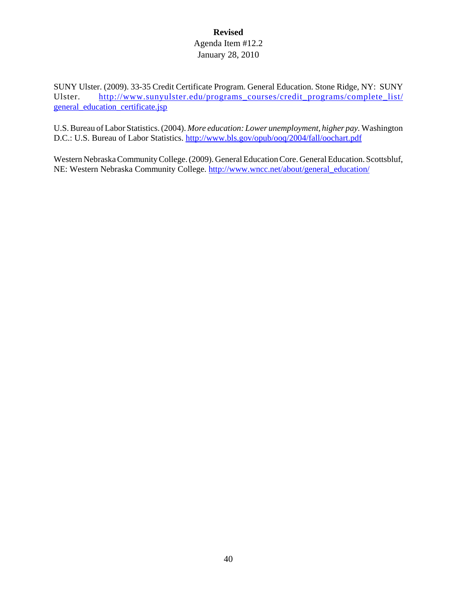SUNY Ulster. (2009). 33-35 Credit Certificate Program. General Education. Stone Ridge, NY: SUNY Ulster. http://www.sunyulster.edu/programs\_courses/credit\_programs/complete\_list/ general education certificate.jsp

U.S. Bureau of Labor Statistics. (2004). *More education: Lower unemployment, higher pay.* Washington D.C.: U.S. Bureau of Labor Statistics. http://www.bls.gov/opub/ooq/2004/fall/oochart.pdf

Western Nebraska Community College. (2009). General Education Core. General Education. Scottsbluf, NE: Western Nebraska Community College. http://www.wncc.net/about/general\_education/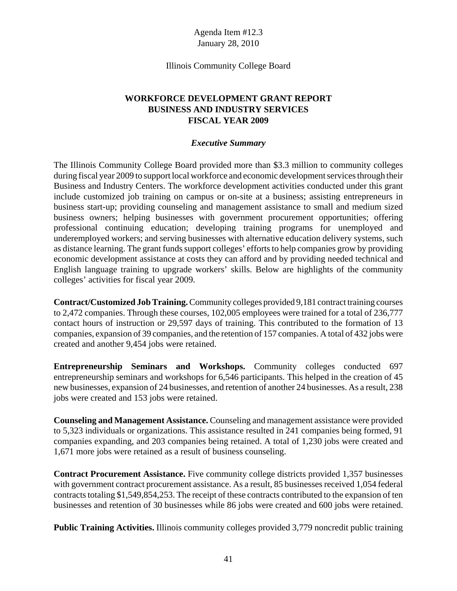Illinois Community College Board

# **WORKFORCE DEVELOPMENT GRANT REPORT BUSINESS AND INDUSTRY SERVICES FISCAL YEAR 2009**

#### *Executive Summary*

The Illinois Community College Board provided more than \$3.3 million to community colleges during fiscal year 2009 to support local workforce and economic development services through their Business and Industry Centers. The workforce development activities conducted under this grant include customized job training on campus or on-site at a business; assisting entrepreneurs in business start-up; providing counseling and management assistance to small and medium sized business owners; helping businesses with government procurement opportunities; offering professional continuing education; developing training programs for unemployed and underemployed workers; and serving businesses with alternative education delivery systems, such as distance learning. The grant funds support colleges' efforts to help companies grow by providing economic development assistance at costs they can afford and by providing needed technical and English language training to upgrade workers' skills. Below are highlights of the community colleges' activities for fiscal year 2009.

**Contract/Customized Job Training.** Community colleges provided 9,181 contract training courses to 2,472 companies. Through these courses, 102,005 employees were trained for a total of 236,777 contact hours of instruction or 29,597 days of training. This contributed to the formation of 13 companies, expansion of 39 companies, and the retention of 157 companies. A total of 432 jobs were created and another 9,454 jobs were retained.

**Entrepreneurship Seminars and Workshops.** Community colleges conducted 697 entrepreneurship seminars and workshops for 6,546 participants. This helped in the creation of 45 new businesses, expansion of 24 businesses, and retention of another 24 businesses. As a result, 238 jobs were created and 153 jobs were retained.

**Counseling and Management Assistance.** Counseling and management assistance were provided to 5,323 individuals or organizations. This assistance resulted in 241 companies being formed, 91 companies expanding, and 203 companies being retained. A total of 1,230 jobs were created and 1,671 more jobs were retained as a result of business counseling.

**Contract Procurement Assistance.** Five community college districts provided 1,357 businesses with government contract procurement assistance. As a result, 85 businesses received 1,054 federal contracts totaling \$1,549,854,253. The receipt of these contracts contributed to the expansion of ten businesses and retention of 30 businesses while 86 jobs were created and 600 jobs were retained.

**Public Training Activities.** Illinois community colleges provided 3,779 noncredit public training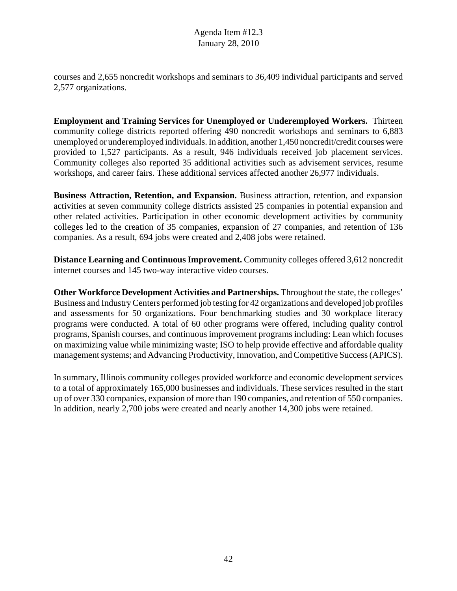courses and 2,655 noncredit workshops and seminars to 36,409 individual participants and served 2,577 organizations.

**Employment and Training Services for Unemployed or Underemployed Workers.** Thirteen community college districts reported offering 490 noncredit workshops and seminars to 6,883 unemployed or underemployed individuals. In addition, another 1,450 noncredit/credit courses were provided to 1,527 participants. As a result, 946 individuals received job placement services. Community colleges also reported 35 additional activities such as advisement services, resume workshops, and career fairs. These additional services affected another 26,977 individuals.

**Business Attraction, Retention, and Expansion.** Business attraction, retention, and expansion activities at seven community college districts assisted 25 companies in potential expansion and other related activities. Participation in other economic development activities by community colleges led to the creation of 35 companies, expansion of 27 companies, and retention of 136 companies. As a result, 694 jobs were created and 2,408 jobs were retained.

**Distance Learning and Continuous Improvement.** Community colleges offered 3,612 noncredit internet courses and 145 two-way interactive video courses.

**Other Workforce Development Activities and Partnerships.** Throughout the state, the colleges' Business and Industry Centers performed job testing for 42 organizations and developed job profiles and assessments for 50 organizations. Four benchmarking studies and 30 workplace literacy programs were conducted. A total of 60 other programs were offered, including quality control programs, Spanish courses, and continuous improvement programs including: Lean which focuses on maximizing value while minimizing waste; ISO to help provide effective and affordable quality management systems; and Advancing Productivity, Innovation, and Competitive Success (APICS).

In summary, Illinois community colleges provided workforce and economic development services to a total of approximately 165,000 businesses and individuals. These services resulted in the start up of over 330 companies, expansion of more than 190 companies, and retention of 550 companies. In addition, nearly 2,700 jobs were created and nearly another 14,300 jobs were retained.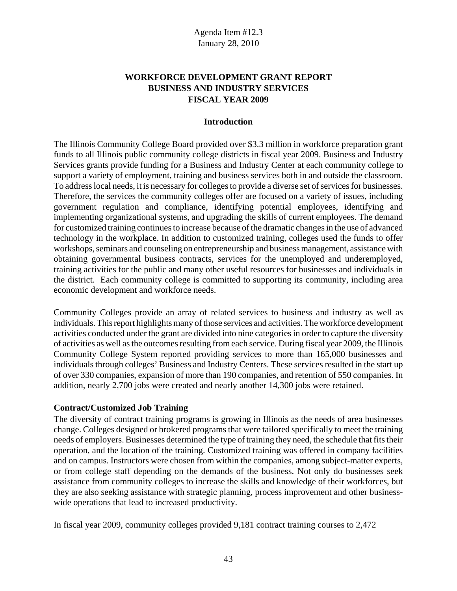# **WORKFORCE DEVELOPMENT GRANT REPORT BUSINESS AND INDUSTRY SERVICES FISCAL YEAR 2009**

#### **Introduction**

The Illinois Community College Board provided over \$3.3 million in workforce preparation grant funds to all Illinois public community college districts in fiscal year 2009. Business and Industry Services grants provide funding for a Business and Industry Center at each community college to support a variety of employment, training and business services both in and outside the classroom. To address local needs, it is necessary for colleges to provide a diverse set of services for businesses. Therefore, the services the community colleges offer are focused on a variety of issues, including government regulation and compliance, identifying potential employees, identifying and implementing organizational systems, and upgrading the skills of current employees. The demand for customized training continues to increase because of the dramatic changes in the use of advanced technology in the workplace. In addition to customized training, colleges used the funds to offer workshops, seminars and counseling on entrepreneurship and business management, assistance with obtaining governmental business contracts, services for the unemployed and underemployed, training activities for the public and many other useful resources for businesses and individuals in the district. Each community college is committed to supporting its community, including area economic development and workforce needs.

Community Colleges provide an array of related services to business and industry as well as individuals. This report highlights many of those services and activities. The workforce development activities conducted under the grant are divided into nine categories in order to capture the diversity of activities as well as the outcomes resulting from each service. During fiscal year 2009, the Illinois Community College System reported providing services to more than 165,000 businesses and individuals through colleges' Business and Industry Centers. These services resulted in the start up of over 330 companies, expansion of more than 190 companies, and retention of 550 companies. In addition, nearly 2,700 jobs were created and nearly another 14,300 jobs were retained.

#### **Contract/Customized Job Training**

The diversity of contract training programs is growing in Illinois as the needs of area businesses change. Colleges designed or brokered programs that were tailored specifically to meet the training needs of employers. Businesses determined the type of training they need, the schedule that fits their operation, and the location of the training. Customized training was offered in company facilities and on campus. Instructors were chosen from within the companies, among subject-matter experts, or from college staff depending on the demands of the business. Not only do businesses seek assistance from community colleges to increase the skills and knowledge of their workforces, but they are also seeking assistance with strategic planning, process improvement and other businesswide operations that lead to increased productivity.

In fiscal year 2009, community colleges provided 9,181 contract training courses to 2,472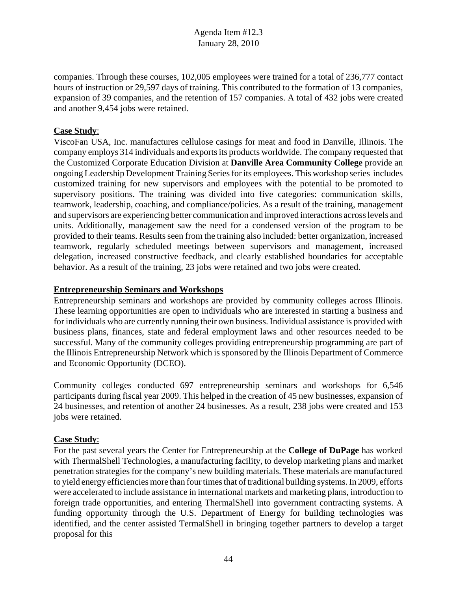companies. Through these courses, 102,005 employees were trained for a total of 236,777 contact hours of instruction or 29,597 days of training. This contributed to the formation of 13 companies, expansion of 39 companies, and the retention of 157 companies. A total of 432 jobs were created and another 9,454 jobs were retained.

### **Case Study**:

ViscoFan USA, Inc. manufactures cellulose casings for meat and food in Danville, Illinois. The company employs 314 individuals and exports its products worldwide. The company requested that the Customized Corporate Education Division at **Danville Area Community College** provide an ongoing Leadership Development Training Series for its employees. This workshop series includes customized training for new supervisors and employees with the potential to be promoted to supervisory positions. The training was divided into five categories: communication skills, teamwork, leadership, coaching, and compliance/policies. As a result of the training, management and supervisors are experiencing better communication and improved interactions across levels and units. Additionally, management saw the need for a condensed version of the program to be provided to their teams. Results seen from the training also included: better organization, increased teamwork, regularly scheduled meetings between supervisors and management, increased delegation, increased constructive feedback, and clearly established boundaries for acceptable behavior. As a result of the training, 23 jobs were retained and two jobs were created.

#### **Entrepreneurship Seminars and Workshops**

Entrepreneurship seminars and workshops are provided by community colleges across Illinois. These learning opportunities are open to individuals who are interested in starting a business and for individuals who are currently running their own business. Individual assistance is provided with business plans, finances, state and federal employment laws and other resources needed to be successful. Many of the community colleges providing entrepreneurship programming are part of the Illinois Entrepreneurship Network which is sponsored by the Illinois Department of Commerce and Economic Opportunity (DCEO).

Community colleges conducted 697 entrepreneurship seminars and workshops for 6,546 participants during fiscal year 2009. This helped in the creation of 45 new businesses, expansion of 24 businesses, and retention of another 24 businesses. As a result, 238 jobs were created and 153 jobs were retained.

## **Case Study**:

For the past several years the Center for Entrepreneurship at the **College of DuPage** has worked with ThermalShell Technologies, a manufacturing facility, to develop marketing plans and market penetration strategies for the company's new building materials. These materials are manufactured to yield energy efficiencies more than four times that of traditional building systems. In 2009, efforts were accelerated to include assistance in international markets and marketing plans, introduction to foreign trade opportunities, and entering ThermalShell into government contracting systems. A funding opportunity through the U.S. Department of Energy for building technologies was identified, and the center assisted TermalShell in bringing together partners to develop a target proposal for this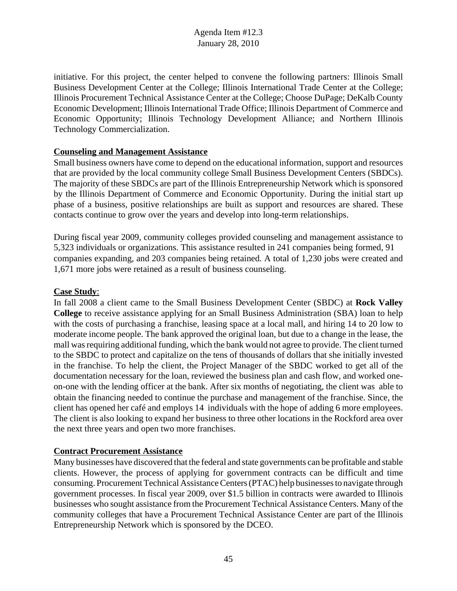initiative. For this project, the center helped to convene the following partners: Illinois Small Business Development Center at the College; Illinois International Trade Center at the College; Illinois Procurement Technical Assistance Center at the College; Choose DuPage; DeKalb County Economic Development; Illinois International Trade Office; Illinois Department of Commerce and Economic Opportunity; Illinois Technology Development Alliance; and Northern Illinois Technology Commercialization.

### **Counseling and Management Assistance**

Small business owners have come to depend on the educational information, support and resources that are provided by the local community college Small Business Development Centers (SBDCs). The majority of these SBDCs are part of the Illinois Entrepreneurship Network which is sponsored by the Illinois Department of Commerce and Economic Opportunity. During the initial start up phase of a business, positive relationships are built as support and resources are shared. These contacts continue to grow over the years and develop into long-term relationships.

During fiscal year 2009, community colleges provided counseling and management assistance to 5,323 individuals or organizations. This assistance resulted in 241 companies being formed, 91 companies expanding, and 203 companies being retained. A total of 1,230 jobs were created and 1,671 more jobs were retained as a result of business counseling.

#### **Case Study**:

In fall 2008 a client came to the Small Business Development Center (SBDC) at **Rock Valley College** to receive assistance applying for an Small Business Administration (SBA) loan to help with the costs of purchasing a franchise, leasing space at a local mall, and hiring 14 to 20 low to moderate income people. The bank approved the original loan, but due to a change in the lease, the mall was requiring additional funding, which the bank would not agree to provide. The client turned to the SBDC to protect and capitalize on the tens of thousands of dollars that she initially invested in the franchise. To help the client, the Project Manager of the SBDC worked to get all of the documentation necessary for the loan, reviewed the business plan and cash flow, and worked oneon-one with the lending officer at the bank. After six months of negotiating, the client was able to obtain the financing needed to continue the purchase and management of the franchise. Since, the client has opened her café and employs 14 individuals with the hope of adding 6 more employees. The client is also looking to expand her business to three other locations in the Rockford area over the next three years and open two more franchises.

## **Contract Procurement Assistance**

Many businesses have discovered that the federal and state governments can be profitable and stable clients. However, the process of applying for government contracts can be difficult and time consuming. Procurement Technical Assistance Centers (PTAC) help businesses to navigate through government processes. In fiscal year 2009, over \$1.5 billion in contracts were awarded to Illinois businesses who sought assistance from the Procurement Technical Assistance Centers. Many of the community colleges that have a Procurement Technical Assistance Center are part of the Illinois Entrepreneurship Network which is sponsored by the DCEO.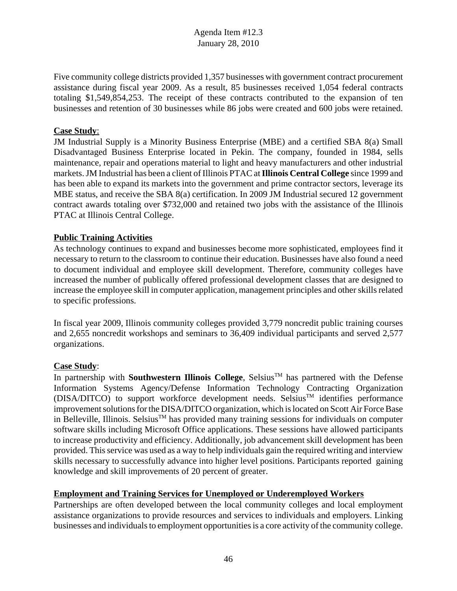Five community college districts provided 1,357 businesses with government contract procurement assistance during fiscal year 2009. As a result, 85 businesses received 1,054 federal contracts totaling \$1,549,854,253. The receipt of these contracts contributed to the expansion of ten businesses and retention of 30 businesses while 86 jobs were created and 600 jobs were retained.

## **Case Study**:

JM Industrial Supply is a Minority Business Enterprise (MBE) and a certified SBA 8(a) Small Disadvantaged Business Enterprise located in Pekin. The company, founded in 1984, sells maintenance, repair and operations material to light and heavy manufacturers and other industrial markets. JM Industrial has been a client of Illinois PTAC at **Illinois Central College** since 1999 and has been able to expand its markets into the government and prime contractor sectors, leverage its MBE status, and receive the SBA 8(a) certification. In 2009 JM Industrial secured 12 government contract awards totaling over \$732,000 and retained two jobs with the assistance of the Illinois PTAC at Illinois Central College.

### **Public Training Activities**

As technology continues to expand and businesses become more sophisticated, employees find it necessary to return to the classroom to continue their education. Businesses have also found a need to document individual and employee skill development. Therefore, community colleges have increased the number of publically offered professional development classes that are designed to increase the employee skill in computer application, management principles and other skills related to specific professions.

In fiscal year 2009, Illinois community colleges provided 3,779 noncredit public training courses and 2,655 noncredit workshops and seminars to 36,409 individual participants and served 2,577 organizations.

## **Case Study**:

In partnership with **Southwestern Illinois College**, Selsius<sup>TM</sup> has partnered with the Defense Information Systems Agency/Defense Information Technology Contracting Organization  $(DISA/DITCO)$  to support workforce development needs. Selsius<sup>TM</sup> identifies performance improvement solutions for the DISA/DITCO organization, which is located on Scott Air Force Base in Belleville, Illinois. Selsius<sup>TM</sup> has provided many training sessions for individuals on computer software skills including Microsoft Office applications. These sessions have allowed participants to increase productivity and efficiency. Additionally, job advancement skill development has been provided. This service was used as a way to help individuals gain the required writing and interview skills necessary to successfully advance into higher level positions. Participants reported gaining knowledge and skill improvements of 20 percent of greater.

#### **Employment and Training Services for Unemployed or Underemployed Workers**

Partnerships are often developed between the local community colleges and local employment assistance organizations to provide resources and services to individuals and employers. Linking businesses and individuals to employment opportunities is a core activity of the community college.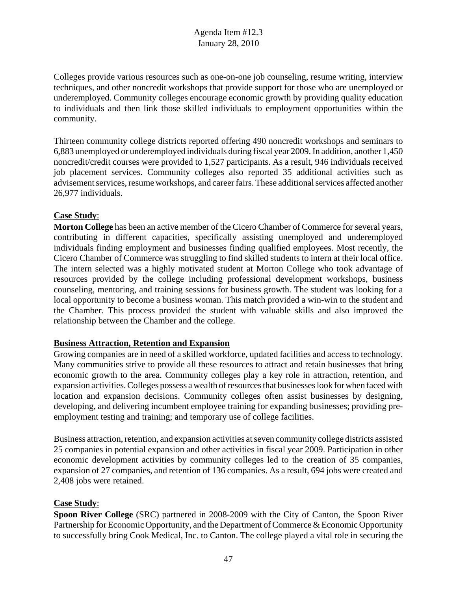Colleges provide various resources such as one-on-one job counseling, resume writing, interview techniques, and other noncredit workshops that provide support for those who are unemployed or underemployed. Community colleges encourage economic growth by providing quality education to individuals and then link those skilled individuals to employment opportunities within the community.

Thirteen community college districts reported offering 490 noncredit workshops and seminars to 6,883 unemployed or underemployed individuals during fiscal year 2009. In addition, another 1,450 noncredit/credit courses were provided to 1,527 participants. As a result, 946 individuals received job placement services. Community colleges also reported 35 additional activities such as advisement services, resume workshops, and career fairs. These additional services affected another 26,977 individuals.

### **Case Study**:

**Morton College** has been an active member of the Cicero Chamber of Commerce for several years, contributing in different capacities, specifically assisting unemployed and underemployed individuals finding employment and businesses finding qualified employees. Most recently, the Cicero Chamber of Commerce was struggling to find skilled students to intern at their local office. The intern selected was a highly motivated student at Morton College who took advantage of resources provided by the college including professional development workshops, business counseling, mentoring, and training sessions for business growth. The student was looking for a local opportunity to become a business woman. This match provided a win-win to the student and the Chamber. This process provided the student with valuable skills and also improved the relationship between the Chamber and the college.

## **Business Attraction, Retention and Expansion**

Growing companies are in need of a skilled workforce, updated facilities and access to technology. Many communities strive to provide all these resources to attract and retain businesses that bring economic growth to the area. Community colleges play a key role in attraction, retention, and expansion activities. Colleges possess a wealth of resources that businesses look for when faced with location and expansion decisions. Community colleges often assist businesses by designing, developing, and delivering incumbent employee training for expanding businesses; providing preemployment testing and training; and temporary use of college facilities.

Business attraction, retention, and expansion activities at seven community college districts assisted 25 companies in potential expansion and other activities in fiscal year 2009. Participation in other economic development activities by community colleges led to the creation of 35 companies, expansion of 27 companies, and retention of 136 companies. As a result, 694 jobs were created and 2,408 jobs were retained.

## **Case Study**:

**Spoon River College** (SRC) partnered in 2008-2009 with the City of Canton, the Spoon River Partnership for Economic Opportunity, and the Department of Commerce & Economic Opportunity to successfully bring Cook Medical, Inc. to Canton. The college played a vital role in securing the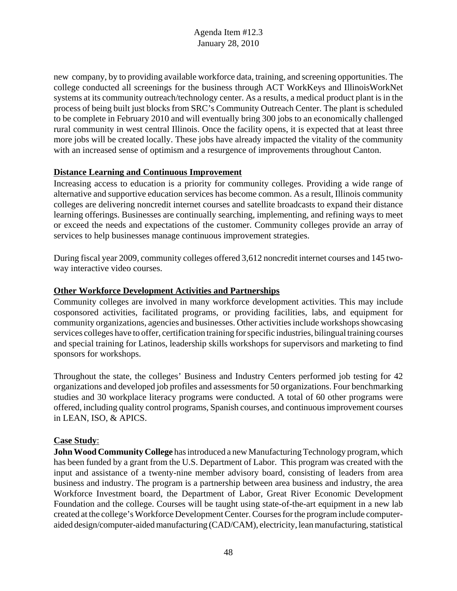new company, by to providing available workforce data, training, and screening opportunities. The college conducted all screenings for the business through ACT WorkKeys and IllinoisWorkNet systems at its community outreach/technology center. As a results, a medical product plant is in the process of being built just blocks from SRC's Community Outreach Center. The plant is scheduled to be complete in February 2010 and will eventually bring 300 jobs to an economically challenged rural community in west central Illinois. Once the facility opens, it is expected that at least three more jobs will be created locally. These jobs have already impacted the vitality of the community with an increased sense of optimism and a resurgence of improvements throughout Canton.

### **Distance Learning and Continuous Improvement**

Increasing access to education is a priority for community colleges. Providing a wide range of alternative and supportive education services has become common. As a result, Illinois community colleges are delivering noncredit internet courses and satellite broadcasts to expand their distance learning offerings. Businesses are continually searching, implementing, and refining ways to meet or exceed the needs and expectations of the customer. Community colleges provide an array of services to help businesses manage continuous improvement strategies.

During fiscal year 2009, community colleges offered 3,612 noncredit internet courses and 145 twoway interactive video courses.

#### **Other Workforce Development Activities and Partnerships**

Community colleges are involved in many workforce development activities. This may include cosponsored activities, facilitated programs, or providing facilities, labs, and equipment for community organizations, agencies and businesses. Other activities include workshops showcasing services colleges have to offer, certification training for specific industries, bilingual training courses and special training for Latinos, leadership skills workshops for supervisors and marketing to find sponsors for workshops.

Throughout the state, the colleges' Business and Industry Centers performed job testing for 42 organizations and developed job profiles and assessments for 50 organizations. Four benchmarking studies and 30 workplace literacy programs were conducted. A total of 60 other programs were offered, including quality control programs, Spanish courses, and continuous improvement courses in LEAN, ISO, & APICS.

#### **Case Study**:

**John Wood Community College** has introduced a new Manufacturing Technology program, which has been funded by a grant from the U.S. Department of Labor. This program was created with the input and assistance of a twenty-nine member advisory board, consisting of leaders from area business and industry. The program is a partnership between area business and industry, the area Workforce Investment board, the Department of Labor, Great River Economic Development Foundation and the college. Courses will be taught using state-of-the-art equipment in a new lab created at the college's Workforce Development Center. Courses for the program include computeraided design/computer-aided manufacturing (CAD/CAM), electricity, lean manufacturing, statistical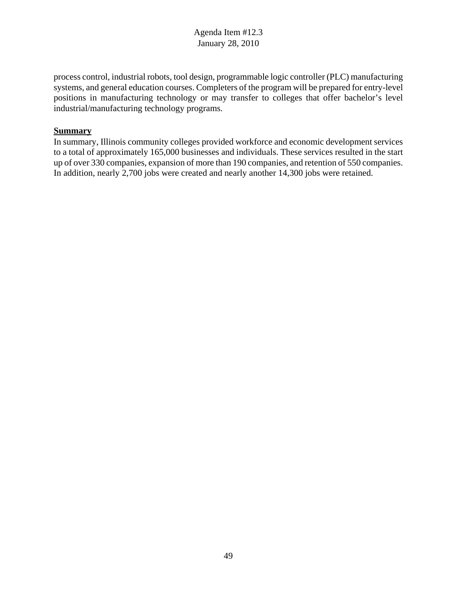process control, industrial robots, tool design, programmable logic controller (PLC) manufacturing systems, and general education courses. Completers of the program will be prepared for entry-level positions in manufacturing technology or may transfer to colleges that offer bachelor's level industrial/manufacturing technology programs.

#### **Summary**

In summary, Illinois community colleges provided workforce and economic development services to a total of approximately 165,000 businesses and individuals. These services resulted in the start up of over 330 companies, expansion of more than 190 companies, and retention of 550 companies. In addition, nearly 2,700 jobs were created and nearly another 14,300 jobs were retained.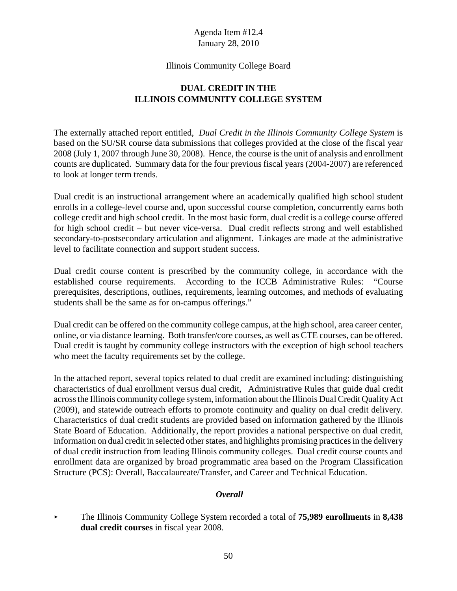#### Illinois Community College Board

# **DUAL CREDIT IN THE ILLINOIS COMMUNITY COLLEGE SYSTEM**

The externally attached report entitled, *Dual Credit in the Illinois Community College System* is based on the SU/SR course data submissions that colleges provided at the close of the fiscal year 2008 (July 1, 2007 through June 30, 2008). Hence, the course is the unit of analysis and enrollment counts are duplicated. Summary data for the four previous fiscal years (2004-2007) are referenced to look at longer term trends.

Dual credit is an instructional arrangement where an academically qualified high school student enrolls in a college-level course and, upon successful course completion, concurrently earns both college credit and high school credit. In the most basic form, dual credit is a college course offered for high school credit – but never vice-versa. Dual credit reflects strong and well established secondary-to-postsecondary articulation and alignment. Linkages are made at the administrative level to facilitate connection and support student success.

Dual credit course content is prescribed by the community college, in accordance with the established course requirements. According to the ICCB Administrative Rules: "Course prerequisites, descriptions, outlines, requirements, learning outcomes, and methods of evaluating students shall be the same as for on-campus offerings."

Dual credit can be offered on the community college campus, at the high school, area career center, online, or via distance learning. Both transfer/core courses, as well as CTE courses, can be offered. Dual credit is taught by community college instructors with the exception of high school teachers who meet the faculty requirements set by the college.

In the attached report, several topics related to dual credit are examined including: distinguishing characteristics of dual enrollment versus dual credit, Administrative Rules that guide dual credit across the Illinois community college system, information about the Illinois Dual Credit Quality Act (2009), and statewide outreach efforts to promote continuity and quality on dual credit delivery. Characteristics of dual credit students are provided based on information gathered by the Illinois State Board of Education. Additionally, the report provides a national perspective on dual credit, information on dual credit in selected other states, and highlights promising practices in the delivery of dual credit instruction from leading Illinois community colleges. Dual credit course counts and enrollment data are organized by broad programmatic area based on the Program Classification Structure (PCS): Overall, Baccalaureate/Transfer, and Career and Technical Education.

## *Overall*

< The Illinois Community College System recorded a total of **75,989 enrollments** in **8,438 dual credit courses** in fiscal year 2008.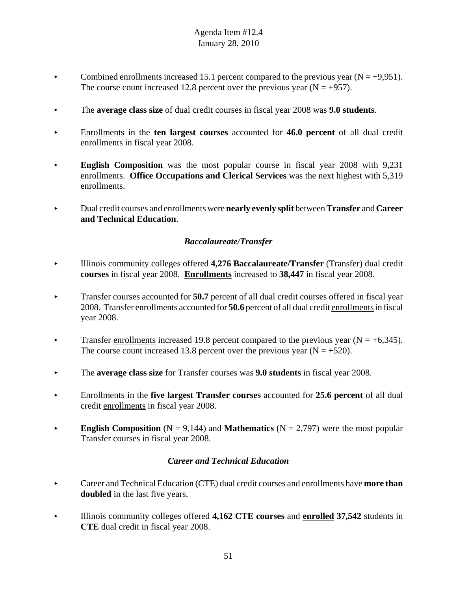- Combined enrollments increased 15.1 percent compared to the previous year ( $N = +9,951$ ). The course count increased 12.8 percent over the previous year  $(N = +957)$ .
- < The **average class size** of dual credit courses in fiscal year 2008 was **9.0 students**.
- < Enrollments in the **ten largest courses** accounted for **46.0 percent** of all dual credit enrollments in fiscal year 2008.
- **English Composition** was the most popular course in fiscal year 2008 with 9,231 enrollments. **Office Occupations and Clerical Services** was the next highest with 5,319 enrollments.
- < Dual credit courses and enrollments were **nearly evenly split** between **Transfer** and **Career and Technical Education**.

# *Baccalaureate/Transfer*

- < Illinois community colleges offered **4,276 Baccalaureate/Transfer** (Transfer) dual credit **courses** in fiscal year 2008. **Enrollments** increased to **38,447** in fiscal year 2008.
- Transfer courses accounted for **50.7** percent of all dual credit courses offered in fiscal year 2008. Transfer enrollments accounted for **50.6** percent of all dual credit enrollments in fiscal year 2008.
- Transfer enrollments increased 19.8 percent compared to the previous year ( $N = +6,345$ ). The course count increased 13.8 percent over the previous year  $(N = +520)$ .
- The **average class size** for Transfer courses was **9.0 students** in fiscal year 2008.
- < Enrollments in the **five largest Transfer courses** accounted for **25.6 percent** of all dual credit enrollments in fiscal year 2008.
- **English Composition** ( $N = 9,144$ ) and **Mathematics** ( $N = 2,797$ ) were the most popular Transfer courses in fiscal year 2008.

## *Career and Technical Education*

- **Example 2** Career and Technical Education (CTE) dual credit courses and enrollments have **more than doubled** in the last five years.
- < Illinois community colleges offered **4,162 CTE courses** and **enrolled 37,542** students in **CTE** dual credit in fiscal year 2008.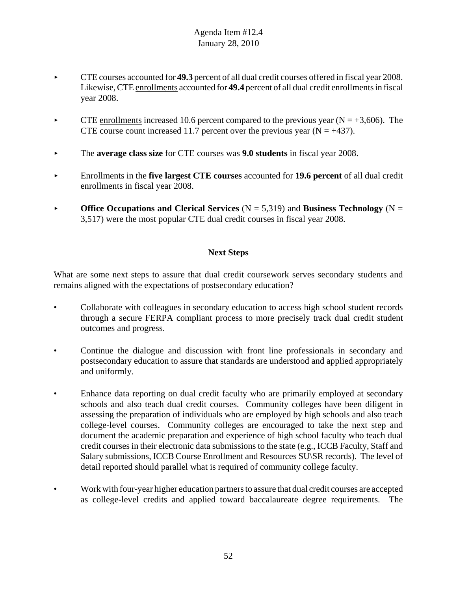- < CTE courses accounted for **49.3** percent of all dual credit courses offered in fiscal year 2008. Likewise, CTE enrollments accounted for **49.4** percent of all dual credit enrollments in fiscal year 2008.
- CTE enrollments increased 10.6 percent compared to the previous year ( $N = +3,606$ ). The CTE course count increased 11.7 percent over the previous year ( $N = +437$ ).
- < The **average class size** for CTE courses was **9.0 students** in fiscal year 2008.
- < Enrollments in the **five largest CTE courses** accounted for **19.6 percent** of all dual credit enrollments in fiscal year 2008.
- **Office Occupations and Clerical Services** ( $N = 5,319$ ) and **Business Technology** ( $N =$ 3,517) were the most popular CTE dual credit courses in fiscal year 2008.

# **Next Steps**

What are some next steps to assure that dual credit coursework serves secondary students and remains aligned with the expectations of postsecondary education?

- Collaborate with colleagues in secondary education to access high school student records through a secure FERPA compliant process to more precisely track dual credit student outcomes and progress.
- Continue the dialogue and discussion with front line professionals in secondary and postsecondary education to assure that standards are understood and applied appropriately and uniformly.
- Enhance data reporting on dual credit faculty who are primarily employed at secondary schools and also teach dual credit courses. Community colleges have been diligent in assessing the preparation of individuals who are employed by high schools and also teach college-level courses. Community colleges are encouraged to take the next step and document the academic preparation and experience of high school faculty who teach dual credit courses in their electronic data submissions to the state (e.g., ICCB Faculty, Staff and Salary submissions, ICCB Course Enrollment and Resources SU\SR records). The level of detail reported should parallel what is required of community college faculty.
- Work with four-year higher education partners to assure that dual credit courses are accepted as college-level credits and applied toward baccalaureate degree requirements. The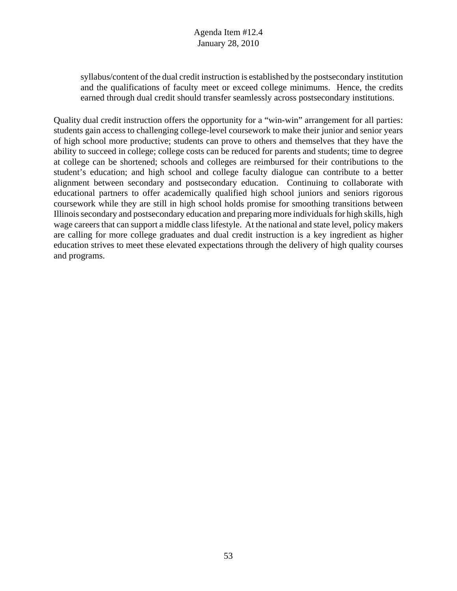syllabus/content of the dual credit instruction is established by the postsecondary institution and the qualifications of faculty meet or exceed college minimums. Hence, the credits earned through dual credit should transfer seamlessly across postsecondary institutions.

Quality dual credit instruction offers the opportunity for a "win-win" arrangement for all parties: students gain access to challenging college-level coursework to make their junior and senior years of high school more productive; students can prove to others and themselves that they have the ability to succeed in college; college costs can be reduced for parents and students; time to degree at college can be shortened; schools and colleges are reimbursed for their contributions to the student's education; and high school and college faculty dialogue can contribute to a better alignment between secondary and postsecondary education. Continuing to collaborate with educational partners to offer academically qualified high school juniors and seniors rigorous coursework while they are still in high school holds promise for smoothing transitions between Illinois secondary and postsecondary education and preparing more individuals for high skills, high wage careers that can support a middle class lifestyle. At the national and state level, policy makers are calling for more college graduates and dual credit instruction is a key ingredient as higher education strives to meet these elevated expectations through the delivery of high quality courses and programs.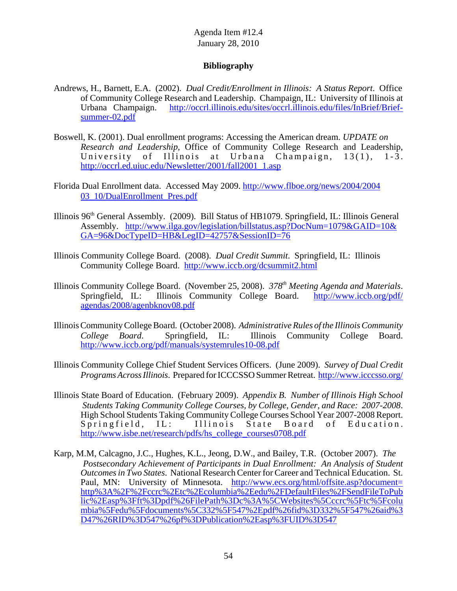## **Bibliography**

- Andrews, H., Barnett, E.A. (2002). *Dual Credit/Enrollment in Illinois: A Status Report*. Office of Community College Research and Leadership. Champaign, IL: University of Illinois at Urbana Champaign. http://occrl.illinois.edu/sites/occrl.illinois.edu/files/InBrief/Briefsummer-02.pdf
- Boswell, K. (2001). Dual enrollment programs: Accessing the American dream. *UPDATE on Research and Leadership*, Office of Community College Research and Leadership, University of Illinois at Urbana Champaign, 13(1), 1-3. University of Illinois at Urbana Champaign, 13(1), 1-3. http://occrl.ed.uiuc.edu/Newsletter/2001/fall2001\_1.asp
- Florida Dual Enrollment data. Accessed May 2009. http://www.flboe.org/news/2004/2004 03\_10/DualEnrollment\_Pres.pdf
- Illinois 96<sup>th</sup> General Assembly. (2009). Bill Status of HB1079. Springfield, IL: Illinois General Assembly. http://www.ilga.gov/legislation/billstatus.asp?DocNum=1079&GAID=10& GA=96&DocTypeID=HB&LegID=42757&SessionID=76
- Illinois Community College Board. (2008). *Dual Credit Summit*. Springfield, IL: Illinois Community College Board. http://www.iccb.org/dcsummit2.html
- Illinois Community College Board. (November 25, 2008). 378<sup>th</sup> Meeting Agenda and Materials. Springfield, IL: Illinois Community College Board. http://www.iccb.org/pdf/ agendas/2008/agenbknov08.pdf
- Illinois Community College Board. (October 2008). *Administrative Rules of the Illinois Community College Board*. Springfield, IL: Illinois Community College Board. http://www.iccb.org/pdf/manuals/systemrules10-08.pdf
- Illinois Community College Chief Student Services Officers. (June 2009). *Survey of Dual Credit Programs Across Illinois*. Prepared for ICCCSSO Summer Retreat. http://www.icccsso.org/
- Illinois State Board of Education. (February 2009). *Appendix B. Number of Illinois High School Students Taking Community College Courses, by College, Gender, and Race: 2007-2008*. High School Students Taking Community College Courses School Year 2007-2008 Report. Springfield, IL: Illinois State Board of Education. http://www.isbe.net/research/pdfs/hs\_college\_courses0708.pdf
- Karp, M.M, Calcagno, J.C., Hughes, K.L., Jeong, D.W., and Bailey, T.R. (October 2007). *The Postsecondary Achievement of Participants in Dual Enrollment: An Analysis of Student Outcomes in Two States*. National Research Center for Career and Technical Education. St. Paul, MN: University of Minnesota. http://www.ecs.org/html/offsite.asp?document= http%3A%2F%2Fccrc%2Etc%2Ecolumbia%2Eedu%2FDefaultFiles%2FSendFileToPub lic%2Easp%3Fft%3Dpdf%26FilePath%3Dc%3A%5CWebsites%5Cccrc%5Ftc%5Fcolu mbia%5Fedu%5Fdocuments%5C332%5F547%2Epdf%26fid%3D332%5F547%26aid%3 D47%26RID%3D547%26pf%3DPublication%2Easp%3FUID%3D547